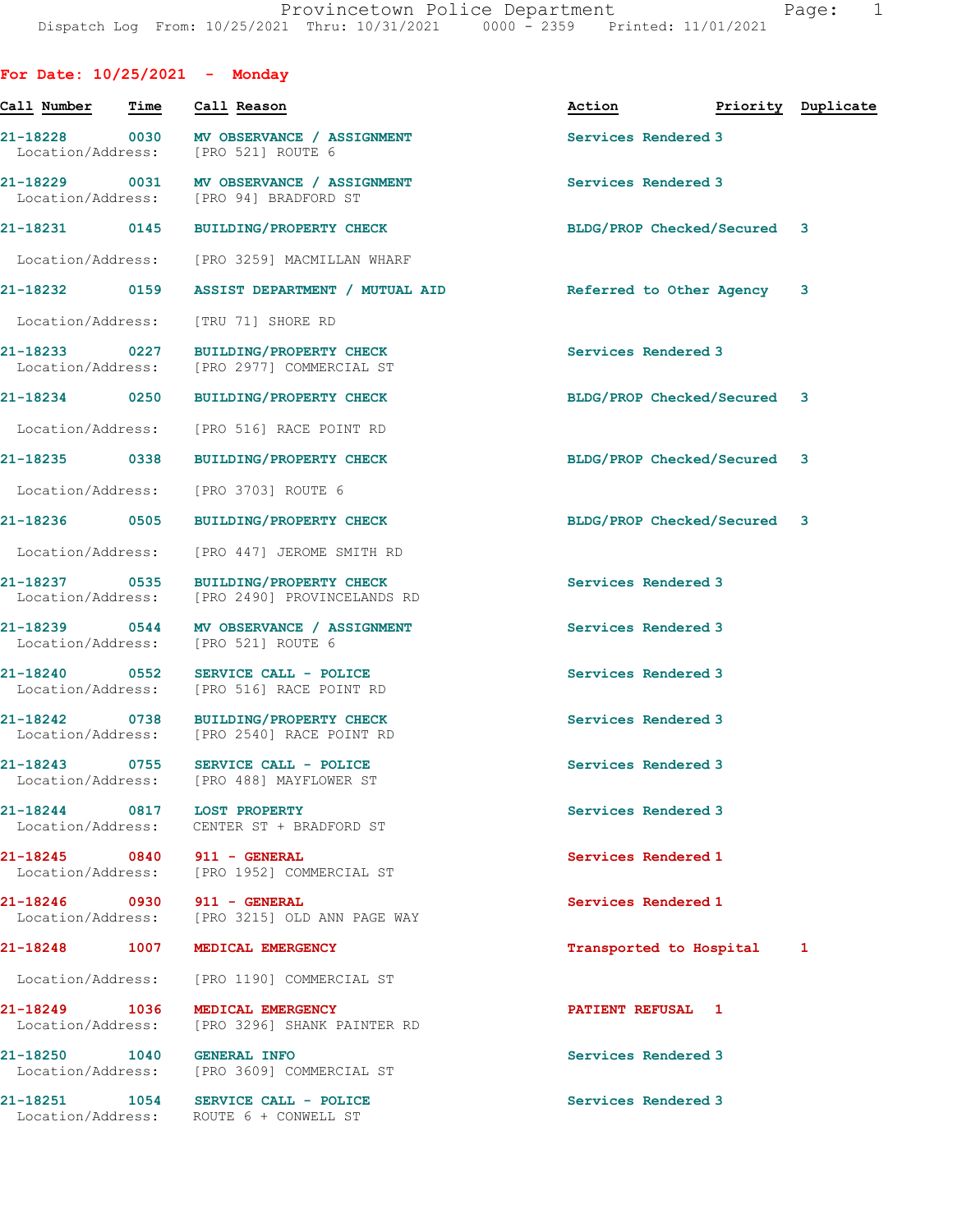| For Date: $10/25/2021$ - Monday    |      |                                                                                     |                             |                    |              |
|------------------------------------|------|-------------------------------------------------------------------------------------|-----------------------------|--------------------|--------------|
| Call Number                        | Time | Call Reason                                                                         | Action                      | Priority Duplicate |              |
|                                    |      | 21-18228 0030 MV OBSERVANCE / ASSIGNMENT<br>Location/Address: [PRO 521] ROUTE 6     | Services Rendered 3         |                    |              |
|                                    |      | 21-18229 0031 MV OBSERVANCE / ASSIGNMENT<br>Location/Address: [PRO 94] BRADFORD ST  | Services Rendered 3         |                    |              |
|                                    |      | 21-18231 0145 BUILDING/PROPERTY CHECK                                               | BLDG/PROP Checked/Secured 3 |                    |              |
|                                    |      | Location/Address: [PRO 3259] MACMILLAN WHARF                                        |                             |                    |              |
| 21-18232 0159                      |      | ASSIST DEPARTMENT / MUTUAL AID                                                      | Referred to Other Agency 3  |                    |              |
| Location/Address:                  |      | [TRU 71] SHORE RD                                                                   |                             |                    |              |
| Location/Address:                  |      | 21-18233 0227 BUILDING/PROPERTY CHECK<br>[PRO 2977] COMMERCIAL ST                   | Services Rendered 3         |                    |              |
|                                    |      | 21-18234 0250 BUILDING/PROPERTY CHECK                                               | BLDG/PROP Checked/Secured 3 |                    |              |
|                                    |      | Location/Address: [PRO 516] RACE POINT RD                                           |                             |                    |              |
| 21-18235 0338                      |      | <b>BUILDING/PROPERTY CHECK</b>                                                      | BLDG/PROP Checked/Secured 3 |                    |              |
|                                    |      | Location/Address: [PRO 3703] ROUTE 6                                                |                             |                    |              |
|                                    |      | 21-18236 0505 BUILDING/PROPERTY CHECK                                               | BLDG/PROP Checked/Secured 3 |                    |              |
| Location/Address:                  |      | [PRO 447] JEROME SMITH RD                                                           |                             |                    |              |
| 21-18237 0535<br>Location/Address: |      | BUILDING/PROPERTY CHECK<br>[PRO 2490] PROVINCELANDS RD                              | Services Rendered 3         |                    |              |
|                                    |      | 21-18239 0544 MV OBSERVANCE / ASSIGNMENT<br>Location/Address: [PRO 521] ROUTE 6     | Services Rendered 3         |                    |              |
|                                    |      | 21-18240 0552 SERVICE CALL - POLICE<br>Location/Address: [PRO 516] RACE POINT RD    | Services Rendered 3         |                    |              |
|                                    |      | 21-18242 0738 BUILDING/PROPERTY CHECK<br>Location/Address: [PRO 2540] RACE POINT RD | Services Rendered 3         |                    |              |
|                                    |      | 21-18243 0755 SERVICE CALL - POLICE<br>Location/Address: [PRO 488] MAYFLOWER ST     | Services Rendered 3         |                    |              |
| 21-18244 0817 LOST PROPERTY        |      | Location/Address: CENTER ST + BRADFORD ST                                           | Services Rendered 3         |                    |              |
| 21-18245 0840 911 - GENERAL        |      | Location/Address: [PRO 1952] COMMERCIAL ST                                          | Services Rendered 1         |                    |              |
| 21-18246 0930 911 - GENERAL        |      | Location/Address: [PRO 3215] OLD ANN PAGE WAY                                       | Services Rendered 1         |                    |              |
|                                    |      | 21-18248 1007 MEDICAL EMERGENCY                                                     | Transported to Hospital     |                    | $\mathbf{1}$ |
|                                    |      | Location/Address: [PRO 1190] COMMERCIAL ST                                          |                             |                    |              |
|                                    |      | 21-18249 1036 MEDICAL EMERGENCY<br>Location/Address: [PRO 3296] SHANK PAINTER RD    | PATIENT REFUSAL 1           |                    |              |
| 21-18250 1040 GENERAL INFO         |      | Location/Address: [PRO 3609] COMMERCIAL ST                                          | Services Rendered 3         |                    |              |
|                                    |      | 21-18251 1054 SERVICE CALL - POLICE<br>Location/Address: ROUTE 6 + CONWELL ST       | Services Rendered 3         |                    |              |
|                                    |      |                                                                                     |                             |                    |              |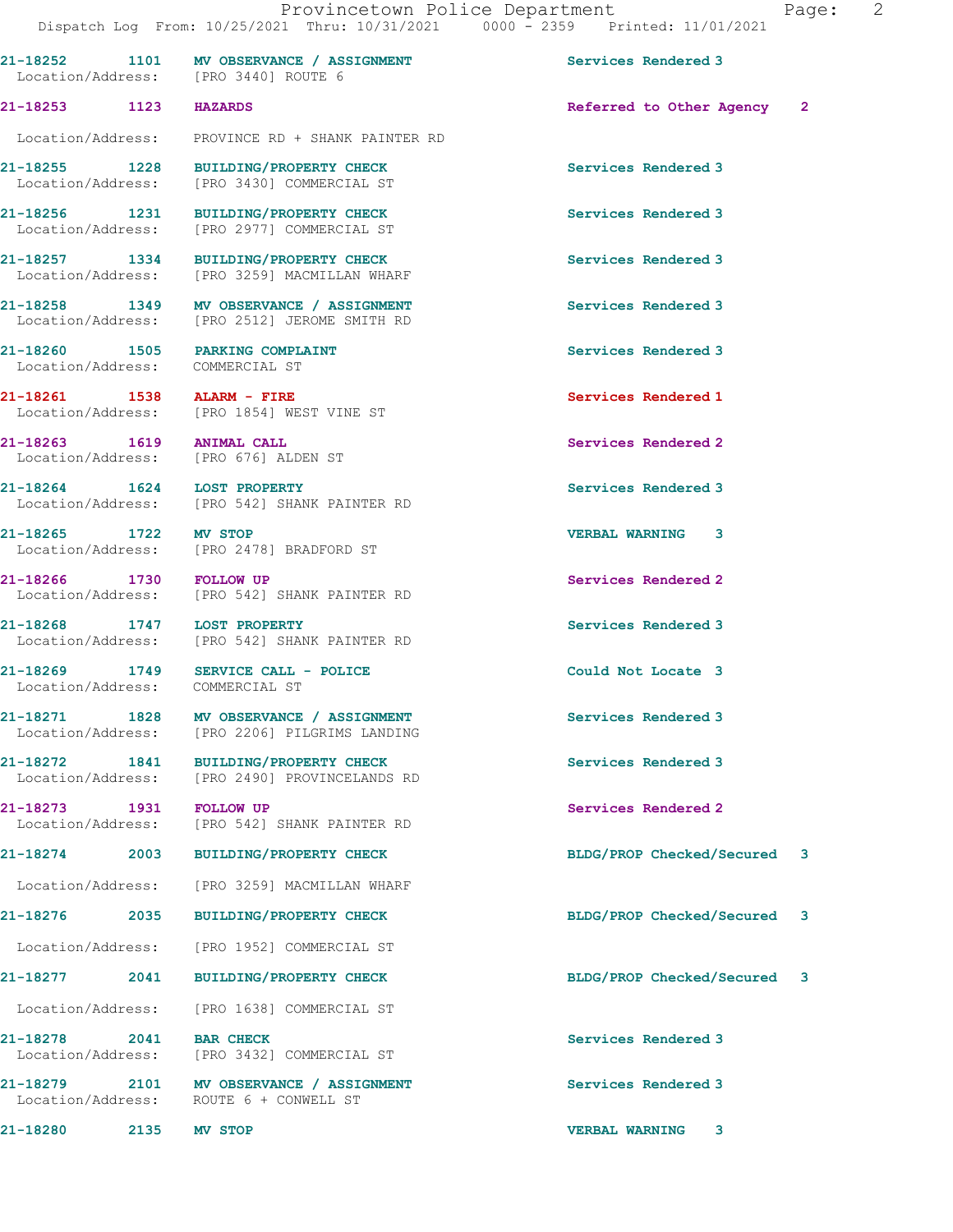21-18253 1123 HAZARDS Referred to Other Agency 2

21-18252 1101 MV OBSERVANCE / ASSIGNMENT Services Rendered 3

21-18255 1228 BUILDING/PROPERTY CHECK Services Rendered 3

Location/Address: [PRO 3440] ROUTE 6

Location/Address: PROVINCE RD + SHANK PAINTER RD

Location/Address: [PRO 3430] COMMERCIAL ST

21-18256 1231 BUILDING/PROPERTY CHECK Services Rendered 3<br>
Location/Address: [PRO 2977] COMMERCIAL ST [PRO 2977] COMMERCIAL ST 21-18257 1334 BUILDING/PROPERTY CHECK Services Rendered 3 Location/Address: [PRO 3259] MACMILLAN WHARF 21-18258 1349 MV OBSERVANCE / ASSIGNMENT Services Rendered 3 Location/Address: [PRO 2512] JEROME SMITH RD 21-18260 1505 PARKING COMPLAINT Services Rendered 3 Location/Address: COMMERCIAL ST 21-18261 1538 ALARM - FIRE Services Rendered 1 Location/Address: [PRO 1854] WEST VINE ST 21-18263 1619 ANIMAL CALL 21-18263 1619 20 Services Rendered 2 Location/Address: 21-18264 1624 LOST PROPERTY Services Rendered 3 Location/Address: [PRO 542] SHANK PAINTER RD 21-18265 1722 MV STOP VERBAL WARNING 3 Location/Address: [PRO 2478] BRADFORD ST 21-18266 1730 FOLLOW UP Services Rendered 2 Location/Address: [PRO 542] SHANK PAINTER RD 21-18268 1747 LOST PROPERTY<br>
Location/Address: [PRO 542] SHANK PAINTER RD<br>
Services Rendered 3 [PRO 542] SHANK PAINTER RD 21-18269 1749 SERVICE CALL - POLICE 21 Could Not Locate 3 Location/Address: COMMERCIAL ST 21-18271 1828 MV OBSERVANCE / ASSIGNMENT Services Rendered 3 Location/Address: [PRO 2206] PILGRIMS LANDING 21-18272 1841 BUILDING/PROPERTY CHECK Services Rendered 3 Location/Address: [PRO 2490] PROVINCELANDS RD 21-18273 1931 FOLLOW UP Services Rendered 2 Location/Address: [PRO 542] SHANK PAINTER RD 21-18274 2003 BUILDING/PROPERTY CHECK BLDG/PROP Checked/Secured 3 Location/Address: [PRO 3259] MACMILLAN WHARF 21-18276 2035 BUILDING/PROPERTY CHECK BLDG/PROP Checked/Secured 3 Location/Address: [PRO 1952] COMMERCIAL ST 21-18277 2041 BUILDING/PROPERTY CHECK BLDG/PROP Checked/Secured 3 Location/Address: [PRO 1638] COMMERCIAL ST 21-18278 2041 BAR CHECK Services Rendered 3 Location/Address: [PRO 3432] COMMERCIAL ST 21-18279 2101 MV OBSERVANCE / ASSIGNMENT Services Rendered 3 Location/Address: ROUTE 6 + CONWELL ST 21-18280 2135 MV STOP VERBAL WARNING 3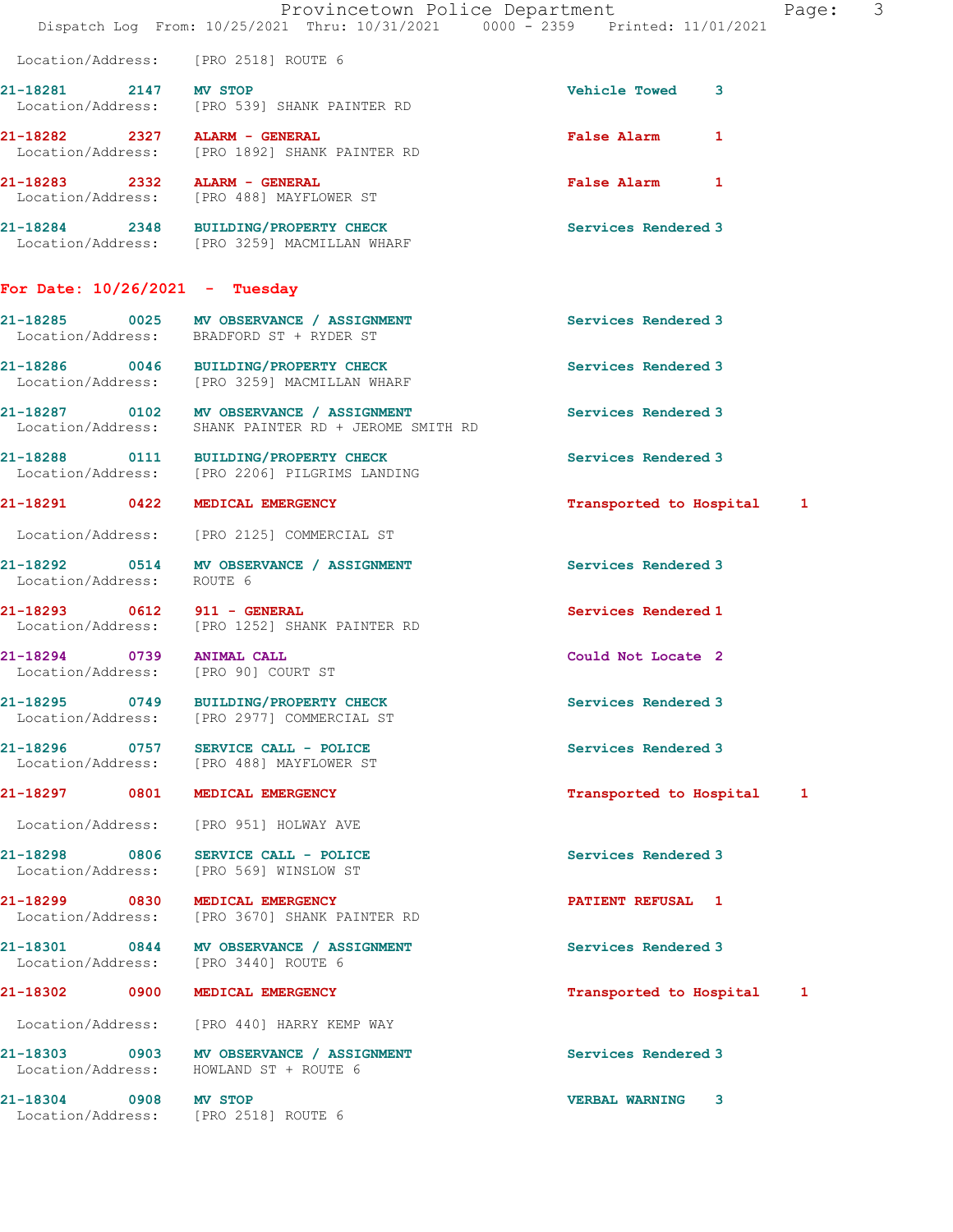|                                  | Provincetown Police Department<br>Dispatch Log From: 10/25/2021 Thru: 10/31/2021 0000 - 2359 Printed: 11/01/2021 |                            | Page: 3 |
|----------------------------------|------------------------------------------------------------------------------------------------------------------|----------------------------|---------|
|                                  | Location/Address: [PRO 2518] ROUTE 6                                                                             |                            |         |
| 21-18281 2147 MV STOP            | Location/Address: [PRO 539] SHANK PAINTER RD                                                                     | Vehicle Towed 3            |         |
| 21-18282 2327 ALARM - GENERAL    | Location/Address: [PRO 1892] SHANK PAINTER RD                                                                    | False Alarm 1              |         |
| 21-18283 2332 ALARM - GENERAL    | Location/Address: [PRO 488] MAYFLOWER ST                                                                         | False Alarm 1              |         |
|                                  | 21-18284 2348 BUILDING/PROPERTY CHECK<br>Location/Address: [PRO 3259] MACMILLAN WHARF                            | Services Rendered 3        |         |
| For Date: $10/26/2021$ - Tuesday |                                                                                                                  |                            |         |
|                                  | 21-18285 0025 MV OBSERVANCE / ASSIGNMENT<br>Location/Address: BRADFORD ST + RYDER ST                             | Services Rendered 3        |         |
|                                  | 21-18286 0046 BUILDING/PROPERTY CHECK<br>Location/Address: [PRO 3259] MACMILLAN WHARF                            | Services Rendered 3        |         |
|                                  | 21-18287 0102 MV OBSERVANCE / ASSIGNMENT<br>Location/Address: SHANK PAINTER RD + JEROME SMITH RD                 | Services Rendered 3        |         |
|                                  | 21-18288 0111 BUILDING/PROPERTY CHECK<br>Location/Address: [PRO 2206] PILGRIMS LANDING                           | Services Rendered 3        |         |
|                                  | 21-18291 0422 MEDICAL EMERGENCY                                                                                  | Transported to Hospital 1  |         |
|                                  | Location/Address: [PRO 2125] COMMERCIAL ST                                                                       |                            |         |
| Location/Address: ROUTE 6        | 21-18292 0514 MV OBSERVANCE / ASSIGNMENT                                                                         | <b>Services Rendered 3</b> |         |
| 21-18293 0612 911 - GENERAL      | Location/Address: [PRO 1252] SHANK PAINTER RD                                                                    | Services Rendered 1        |         |
| 21-18294 0739 ANIMAL CALL        | Location/Address: [PRO 90] COURT ST                                                                              | Could Not Locate 2         |         |
|                                  | 21-18295 0749 BUILDING/PROPERTY CHECK<br>Location/Address: [PRO 2977] COMMERCIAL ST                              | Services Rendered 3        |         |
|                                  | 21-18296 0757 SERVICE CALL - POLICE<br>Location/Address: [PRO 488] MAYFLOWER ST                                  | Services Rendered 3        |         |
|                                  | 21-18297 0801 MEDICAL EMERGENCY                                                                                  | Transported to Hospital 1  |         |
|                                  | Location/Address: [PRO 951] HOLWAY AVE                                                                           |                            |         |
|                                  | 21-18298 0806 SERVICE CALL - POLICE<br>Location/Address: [PRO 569] WINSLOW ST                                    | Services Rendered 3        |         |
|                                  | 21-18299 0830 MEDICAL EMERGENCY<br>Location/Address: [PRO 3670] SHANK PAINTER RD                                 | PATIENT REFUSAL 1          |         |
|                                  | 21-18301 0844 MV OBSERVANCE / ASSIGNMENT<br>Location/Address: [PRO 3440] ROUTE 6                                 | Services Rendered 3        |         |
|                                  | 21-18302 0900 MEDICAL EMERGENCY                                                                                  | Transported to Hospital 1  |         |
|                                  | Location/Address: [PRO 440] HARRY KEMP WAY                                                                       |                            |         |
|                                  | 21-18303 0903 MV OBSERVANCE / ASSIGNMENT<br>Location/Address: HOWLAND ST + ROUTE 6                               | Services Rendered 3        |         |
| 21-18304 0908 MV STOP            | Location/Address: [PRO 2518] ROUTE 6                                                                             | VERBAL WARNING 3           |         |
|                                  |                                                                                                                  |                            |         |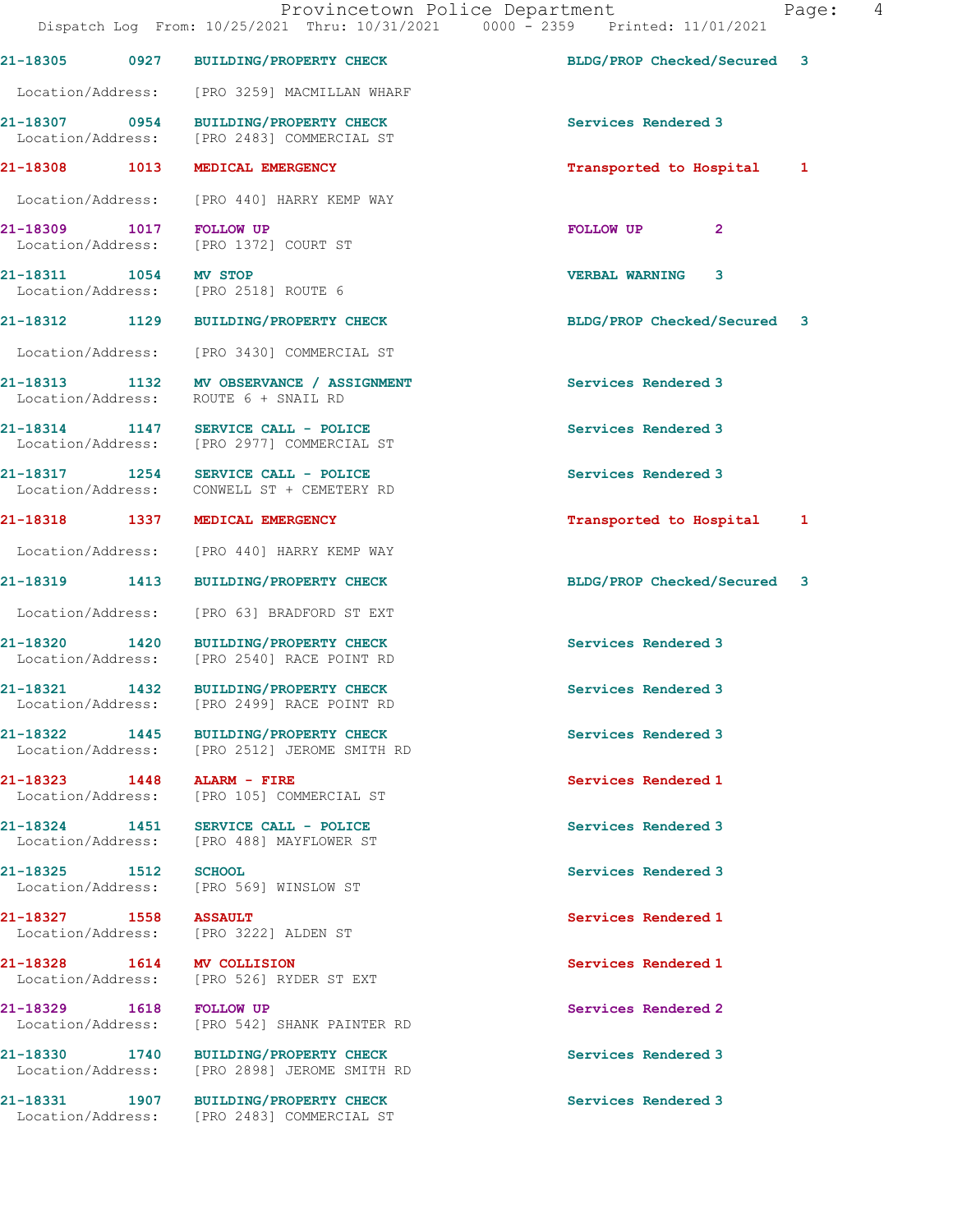Dispatch Log From: 10/25/2021 Thru: 10/31/2021 0000 - 2359 Printed: 11/01/2021 21-18305 0927 BUILDING/PROPERTY CHECK BLDG/PROP Checked/Secured 3 Location/Address: [PRO 3259] MACMILLAN WHARF 21-18307 0954 BUILDING/PROPERTY CHECK Services Rendered 3 Location/Address: [PRO 2483] COMMERCIAL ST 21-18308 1013 MEDICAL EMERGENCY **1200 1200 1200 1200 121-18308** 1013 1 Location/Address: [PRO 440] HARRY KEMP WAY 21-18309 1017 FOLLOW UP FOLLOW UP 2 Location/Address: [PRO 1372] COURT ST 21-18311 1054 MV STOP 1000 1000 10000 VERBAL WARNING 3<br>
Location/Address: [PRO 2518] ROUTE 6 Location/Address: 21-18312 1129 BUILDING/PROPERTY CHECK BLDG/PROP Checked/Secured 3 Location/Address: [PRO 3430] COMMERCIAL ST 21-18313 1132 MV OBSERVANCE / ASSIGNMENT Services Rendered 3 Location/Address: ROUTE 6 + SNAIL RD 21-18314 1147 SERVICE CALL - POLICE (2008) Services Rendered 3<br>
Location/Address: [PRO 2977] COMMERCIAL ST [PRO 2977] COMMERCIAL ST 21-18317 1254 SERVICE CALL - POLICE Services Rendered 3 Location/Address: CONWELL ST + CEMETERY RD 21-18318 1337 MEDICAL EMERGENCY 1 21-18318 Transported to Hospital 1 Location/Address: [PRO 440] HARRY KEMP WAY 21-18319 1413 BUILDING/PROPERTY CHECK BLDG/PROP Checked/Secured 3 Location/Address: [PRO 63] BRADFORD ST EXT 21-18320 1420 BUILDING/PROPERTY CHECK Services Rendered 3 Location/Address: [PRO 2540] RACE POINT RD 21-18321 1432 BUILDING/PROPERTY CHECK Services Rendered 3 Location/Address: [PRO 2499] RACE POINT RD 21-18322 1445 BUILDING/PROPERTY CHECK Services Rendered 3 Location/Address: [PRO 2512] JEROME SMITH RD 21-18323 1448 ALARM - FIRE Services Rendered 1 Location/Address: [PRO 105] COMMERCIAL ST 21-18324 1451 SERVICE CALL - POLICE Services Rendered 3 Location/Address: [PRO 488] MAYFLOWER ST 21-18325 1512 SCHOOL 1512 SCHOOL 21-18325 Pervices Rendered 3<br>
Location/Address: [PRO 569] WINSLOW ST [PRO 569] WINSLOW ST 21-18327 1558 ASSAULT Services Rendered 1 Location/Address: [PRO 3222] ALDEN ST 21-18328 1614 MV COLLISION Services Rendered 1 Location/Address: [PRO 526] RYDER ST EXT 21-18329 1618 FOLLOW UP Services Rendered 2 Location/Address: [PRO 542] SHANK PAINTER RD 21-18330 1740 BUILDING/PROPERTY CHECK Services Rendered 3 Location/Address: [PRO 2898] JEROME SMITH RD 21-18331 1907 BUILDING/PROPERTY CHECK Services Rendered 3 Location/Address: [PRO 2483] COMMERCIAL ST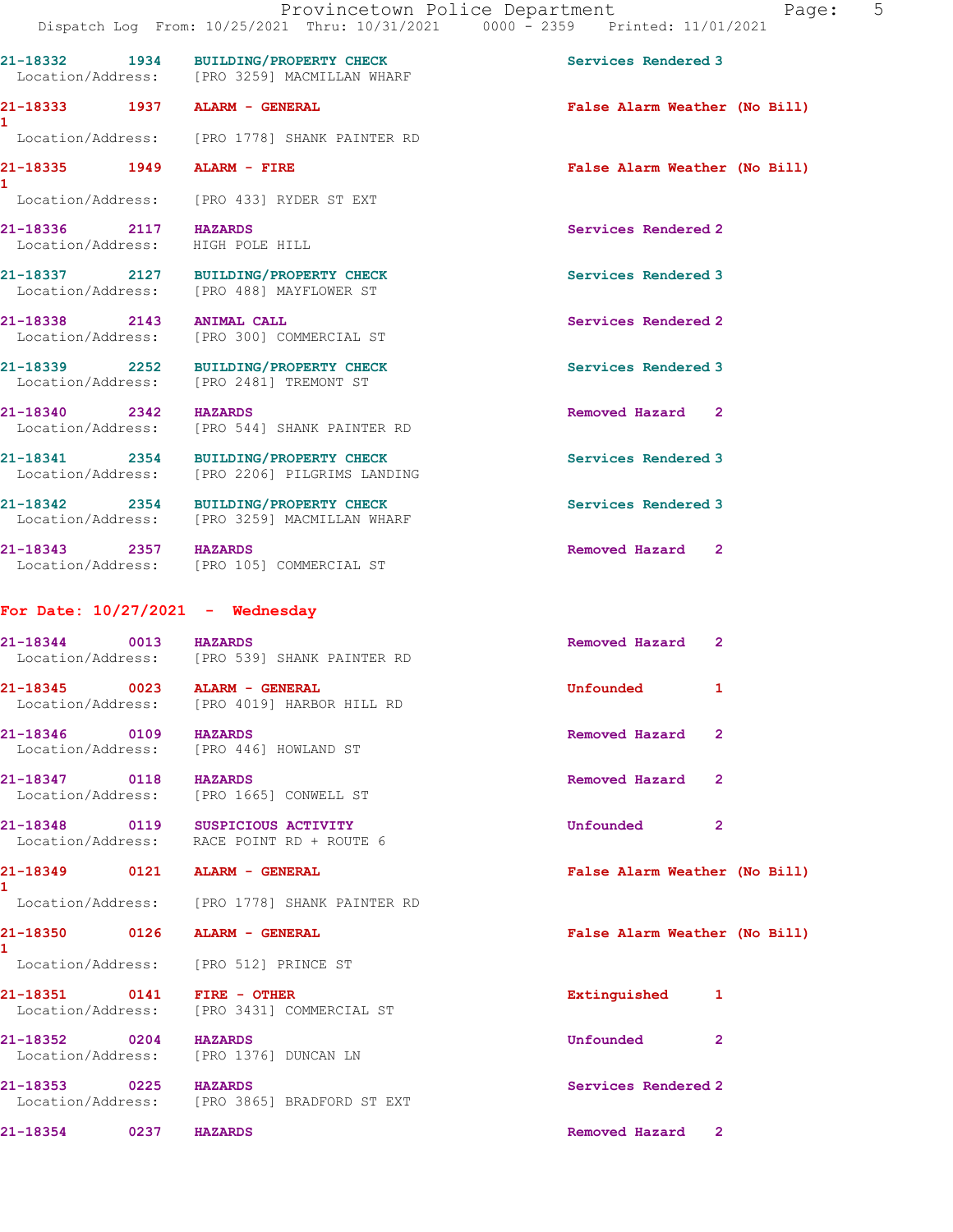|                                                                 | 21-18332 1934 BUILDING/PROPERTY CHECK<br>Location/Address: [PRO 3259] MACMILLAN WHARF  | Services Rendered 3            |
|-----------------------------------------------------------------|----------------------------------------------------------------------------------------|--------------------------------|
| 21-18333 1937 ALARM - GENERAL<br>$\mathbf{1}$                   |                                                                                        | False Alarm Weather (No Bill)  |
|                                                                 | Location/Address: [PRO 1778] SHANK PAINTER RD                                          |                                |
| 21-18335 1949 ALARM - FIRE<br>1                                 |                                                                                        | False Alarm Weather (No Bill)  |
|                                                                 | Location/Address: [PRO 433] RYDER ST EXT                                               |                                |
| 21-18336 2117 HAZARDS<br>Location/Address: HIGH POLE HILL       |                                                                                        | Services Rendered 2            |
|                                                                 | 21-18337 2127 BUILDING/PROPERTY CHECK<br>Location/Address: [PRO 488] MAYFLOWER ST      | Services Rendered 3            |
| 21-18338 2143 ANIMAL CALL                                       | Location/Address: [PRO 300] COMMERCIAL ST                                              | Services Rendered 2            |
|                                                                 | 21-18339 2252 BUILDING/PROPERTY CHECK<br>Location/Address: [PRO 2481] TREMONT ST       | Services Rendered 3            |
| 21-18340 2342 HAZARDS                                           | Location/Address: [PRO 544] SHANK PAINTER RD                                           | Removed Hazard 2               |
|                                                                 | 21-18341 2354 BUILDING/PROPERTY CHECK<br>Location/Address: [PRO 2206] PILGRIMS LANDING | Services Rendered 3            |
|                                                                 | 21-18342 2354 BUILDING/PROPERTY CHECK<br>Location/Address: [PRO 3259] MACMILLAN WHARF  | Services Rendered 3            |
| 21-18343 2357 HAZARDS                                           | Location/Address: [PRO 105] COMMERCIAL ST                                              | Removed Hazard 2               |
| For Date: $10/27/2021$ - Wednesday                              |                                                                                        |                                |
| 21-18344 0013 HAZARDS                                           | Location/Address: [PRO 539] SHANK PAINTER RD                                           | Removed Hazard 2               |
| 21-18345 0023 ALARM - GENERAL                                   | Location/Address: [PRO 4019] HARBOR HILL RD                                            | Unfounded<br>1                 |
| 21-18346 0109 HAZARDS<br>Location/Address: [PRO 446] HOWLAND ST |                                                                                        | Removed Hazard 2               |
| 21-18347 0118                                                   | <b>HAZARDS</b><br>Location/Address: [PRO 1665] CONWELL ST                              | Removed Hazard<br>$\mathbf{2}$ |
| 21-18348 0119 SUSPICIOUS ACTIVITY                               | Location/Address: RACE POINT RD + ROUTE 6                                              | Unfounded<br>$\overline{2}$    |
| 21-18349 0121 ALARM - GENERAL<br>$\mathbf{1}$                   |                                                                                        | False Alarm Weather (No Bill)  |
|                                                                 | Location/Address: [PRO 1778] SHANK PAINTER RD                                          |                                |
| 21-18350 0126 ALARM - GENERAL<br>1                              |                                                                                        | False Alarm Weather (No Bill)  |
| Location/Address: [PRO 512] PRINCE ST                           |                                                                                        |                                |
| 21-18351 0141 FIRE - OTHER                                      | Location/Address: [PRO 3431] COMMERCIAL ST                                             | Extinguished<br>1              |
| 21-18352 0204 HAZARDS<br>Location/Address: [PRO 1376] DUNCAN LN |                                                                                        | Unfounded<br>2                 |
| 21-18353 0225 HAZARDS                                           |                                                                                        | Services Rendered 2            |
|                                                                 | Location/Address: [PRO 3865] BRADFORD ST EXT                                           |                                |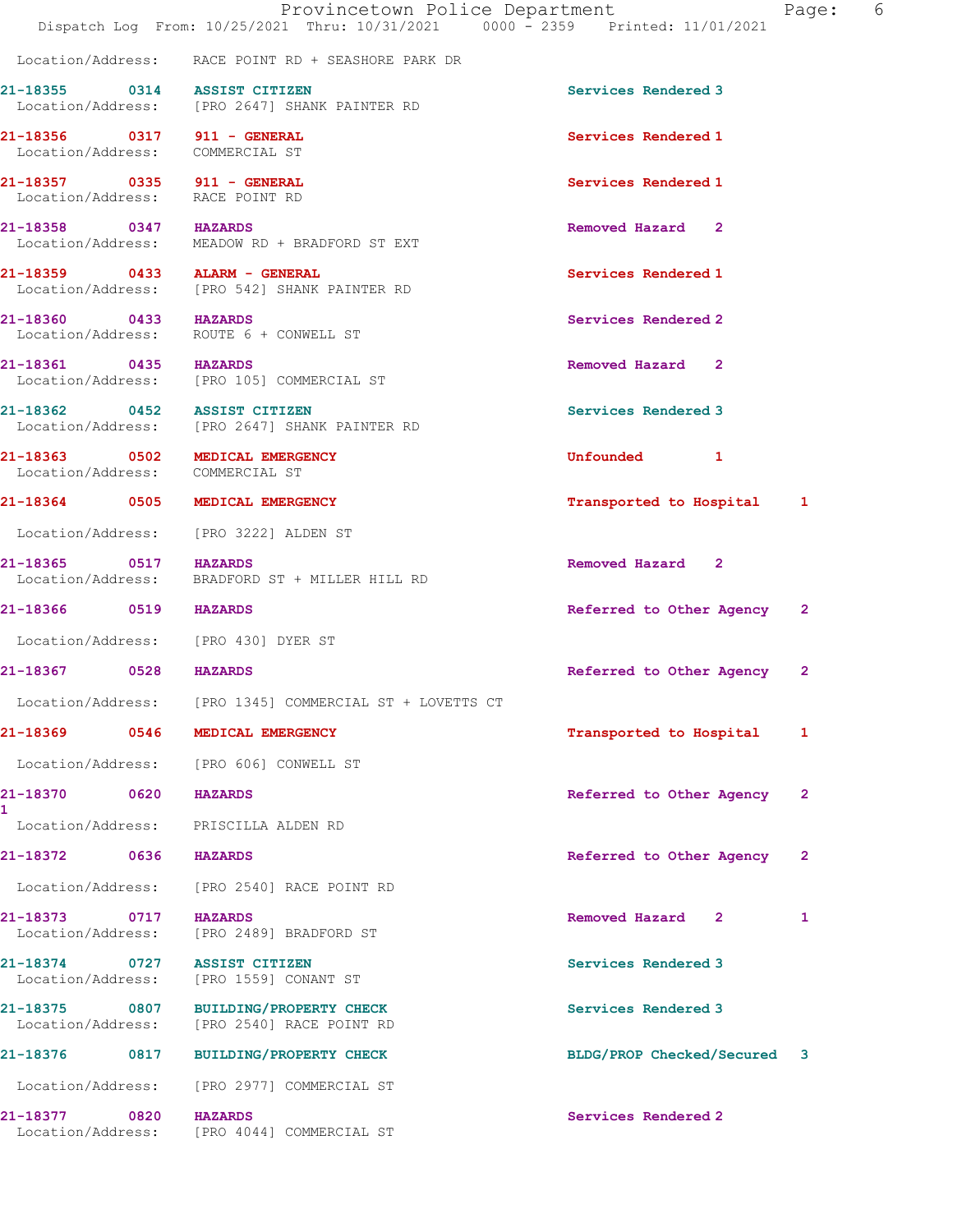|                                    |      | Provincetown Police Department<br>Dispatch Log From: 10/25/2021 Thru: 10/31/2021 0000 - 2359 Printed: 11/01/2021 |                             | Page: 6      |  |
|------------------------------------|------|------------------------------------------------------------------------------------------------------------------|-----------------------------|--------------|--|
|                                    |      | Location/Address: RACE POINT RD + SEASHORE PARK DR                                                               |                             |              |  |
|                                    |      | 21-18355 0314 ASSIST CITIZEN<br>Location/Address: [PRO 2647] SHANK PAINTER RD                                    | Services Rendered 3         |              |  |
|                                    |      | 21-18356 0317 911 - GENERAL<br>Location/Address: COMMERCIAL ST                                                   | Services Rendered 1         |              |  |
|                                    |      | 21-18357 0335 911 - GENERAL<br>Location/Address: RACE POINT RD                                                   | Services Rendered 1         |              |  |
| 21-18358 0347 HAZARDS              |      | Location/Address: MEADOW RD + BRADFORD ST EXT                                                                    | Removed Hazard 2            |              |  |
|                                    |      | 21-18359 0433 ALARM - GENERAL<br>Location/Address: [PRO 542] SHANK PAINTER RD                                    | Services Rendered 1         |              |  |
|                                    |      | 21-18360 0433 HAZARDS<br>Location/Address: ROUTE 6 + CONWELL ST                                                  | Services Rendered 2         |              |  |
| 21-18361 0435 HAZARDS              |      | Location/Address: [PRO 105] COMMERCIAL ST                                                                        | Removed Hazard 2            |              |  |
|                                    |      | 21-18362 0452 ASSIST CITIZEN<br>Location/Address: [PRO 2647] SHANK PAINTER RD                                    | Services Rendered 3         |              |  |
|                                    |      | 21-18363 0502 MEDICAL EMERGENCY<br>Location/Address: COMMERCIAL ST                                               | Unfounded 1                 |              |  |
|                                    |      | 21-18364 0505 MEDICAL EMERGENCY                                                                                  | Transported to Hospital 1   |              |  |
|                                    |      | Location/Address: [PRO 3222] ALDEN ST                                                                            |                             |              |  |
| 21-18365 0517 HAZARDS              |      | Location/Address: BRADFORD ST + MILLER HILL RD                                                                   | Removed Hazard 2            |              |  |
| 21-18366 0519 HAZARDS              |      |                                                                                                                  | Referred to Other Agency 2  |              |  |
|                                    |      | Location/Address: [PRO 430] DYER ST                                                                              |                             |              |  |
| 21-18367 0528 HAZARDS              |      |                                                                                                                  | Referred to Other Agency    | $\mathbf{2}$ |  |
|                                    |      | Location/Address: [PRO 1345] COMMERCIAL ST + LOVETTS CT                                                          |                             |              |  |
|                                    |      | 21-18369 0546 MEDICAL EMERGENCY                                                                                  | Transported to Hospital     | 1            |  |
|                                    |      | Location/Address: [PRO 606] CONWELL ST                                                                           |                             |              |  |
| 21-18370<br>1.                     | 0620 | <b>HAZARDS</b>                                                                                                   | Referred to Other Agency    | 2            |  |
| Location/Address:                  |      | PRISCILLA ALDEN RD                                                                                               |                             |              |  |
| 21-18372 0636                      |      | <b>HAZARDS</b>                                                                                                   | Referred to Other Agency    | $\mathbf{2}$ |  |
| Location/Address:                  |      | [PRO 2540] RACE POINT RD                                                                                         |                             |              |  |
| 21-18373 0717                      |      | <b>HAZARDS</b><br>Location/Address: [PRO 2489] BRADFORD ST                                                       | Removed Hazard 2            | 1            |  |
| 21-18374 0727<br>Location/Address: |      | <b>ASSIST CITIZEN</b><br>[PRO 1559] CONANT ST                                                                    | Services Rendered 3         |              |  |
| 21-18375 0807<br>Location/Address: |      | BUILDING/PROPERTY CHECK<br>[PRO 2540] RACE POINT RD                                                              | Services Rendered 3         |              |  |
| 21-18376 0817                      |      | <b>BUILDING/PROPERTY CHECK</b>                                                                                   | BLDG/PROP Checked/Secured 3 |              |  |
| Location/Address:                  |      | [PRO 2977] COMMERCIAL ST                                                                                         |                             |              |  |
| 21-18377 0820                      |      | <b>HAZARDS</b><br>Location/Address: [PRO 4044] COMMERCIAL ST                                                     | Services Rendered 2         |              |  |
|                                    |      |                                                                                                                  |                             |              |  |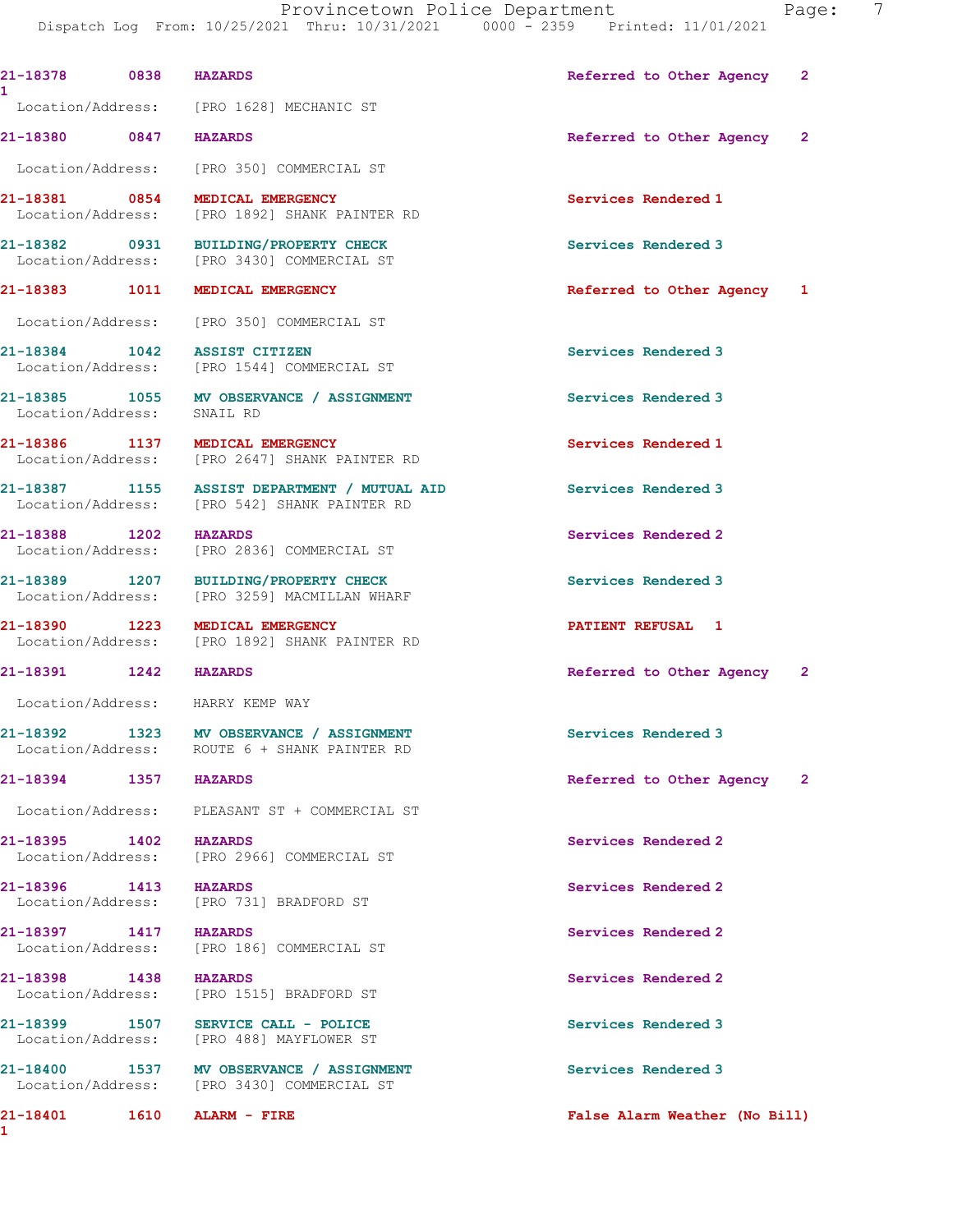1

1

 Dispatch Log From: 10/25/2021 Thru: 10/31/2021 0000 - 2359 Printed: 11/01/2021 21-18378 0838 HAZARDS Referred to Other Agency 2 Location/Address: [PRO 1628] MECHANIC ST 21-18380 0847 HAZARDS Referred to Other Agency 2 Location/Address: [PRO 350] COMMERCIAL ST 21-18381 0854 MEDICAL EMERGENCY Services Rendered 1 Location/Address: [PRO 1892] SHANK PAINTER RD 21-18382 0931 BUILDING/PROPERTY CHECK Services Rendered 3<br>
Location/Address: [PRO 3430] COMMERCIAL ST [PRO 3430] COMMERCIAL ST 21-18383 1011 MEDICAL EMERGENCY **12.1-18383** 1011 MEDICAL EMERGENCY Location/Address: [PRO 350] COMMERCIAL ST 21-18384 1042 ASSIST CITIZEN Services Rendered 3 Location/Address: [PRO 1544] COMMERCIAL ST 21-18385 1055 MV OBSERVANCE / ASSIGNMENT Services Rendered 3 Location/Address: SNAIL RD 21-18386 1137 MEDICAL EMERGENCY Services Rendered 1 Location/Address: [PRO 2647] SHANK PAINTER RD 21-18387 1155 ASSIST DEPARTMENT / MUTUAL AID Services Rendered 3 Location/Address: [PRO 542] SHANK PAINTER RD 21-18388 1202 HAZARDS Services Rendered 2 Location/Address: [PRO 2836] COMMERCIAL ST 21-18389 1207 BUILDING/PROPERTY CHECK Services Rendered 3 Location/Address: [PRO 3259] MACMILLAN WHARF 21-18390 1223 MEDICAL EMERGENCY PATIENT REFUSAL 1 Location/Address: [PRO 1892] SHANK PAINTER RD 21-18391 1242 HAZARDS Referred to Other Agency 2 Location/Address: HARRY KEMP WAY 21-18392 1323 MV OBSERVANCE / ASSIGNMENT Services Rendered 3 Location/Address: ROUTE 6 + SHANK PAINTER RD 21-18394 1357 HAZARDS 1988 120 Referred to Other Agency Location/Address: PLEASANT ST + COMMERCIAL ST 21-18395 1402 HAZARDS Services Rendered 2 Location/Address: [PRO 2966] COMMERCIAL ST 21-18396 1413 HAZARDS 1989 1999 1413 HAZARDS 21-18396 1413 1582 Exterior Services Rendered 2 [PRO 731] BRADFORD ST 21-18397 1417 HAZARDS Services Rendered 2 Location/Address: [PRO 186] COMMERCIAL ST 21-18398 1438 HAZARDS Services Rendered 2 Location/Address: [PRO 1515] BRADFORD ST 21-18399 1507 SERVICE CALL - POLICE 3 Services Rendered 3 Location/Address: [PRO 488] MAYFLOWER ST 21-18400 1537 MV OBSERVANCE / ASSIGNMENT Services Rendered 3<br>
Location/Address: [PRO 3430] COMMERCIAL ST [PRO 3430] COMMERCIAL ST

21-18401 1610 ALARM - FIRE False Alarm Weather (No Bill)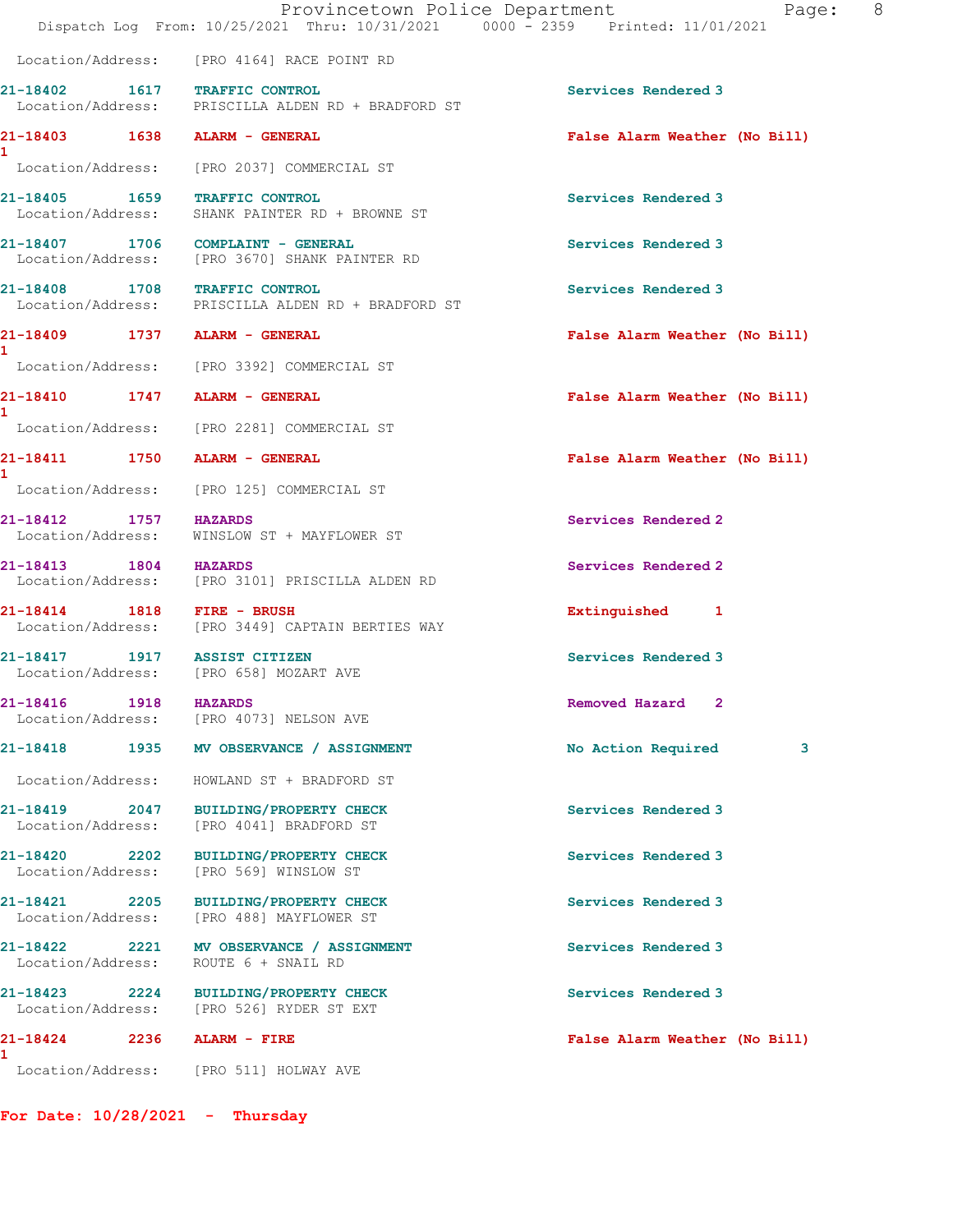Location/Address: [PRO 4164] RACE POINT RD

21-18402 1617 TRAFFIC CONTROL Services Rendered 3 Location/Address: PRISCILLA ALDEN RD + BRADFORD ST

21-18403 1638 ALARM - GENERAL False Alarm Weather (No Bill)

1

1

1

1

Location/Address: [PRO 2037] COMMERCIAL ST

21-18405 1659 TRAFFIC CONTROL Services Rendered 3 Location/Address: SHANK PAINTER RD + BROWNE ST

21-18407 1706 COMPLAINT - GENERAL Services Rendered 3 Location/Address: [PRO 3670] SHANK PAINTER RD

21-18408 1708 TRAFFIC CONTROL Services Rendered 3 Location/Address: PRISCILLA ALDEN RD + BRADFORD ST

Location/Address: [PRO 3392] COMMERCIAL ST

Location/Address: [PRO 2281] COMMERCIAL ST

Location/Address: [PRO 125] COMMERCIAL ST

21-18412 1757 HAZARDS Services Rendered 2 Location/Address: WINSLOW ST + MAYFLOWER ST

21-18413 1804 HAZARDS Services Rendered 2 Location/Address: [PRO 3101] PRISCILLA ALDEN RD

21-18414 1818 FIRE - BRUSH **Extinguished** 1 Location/Address: [PRO 3449] CAPTAIN BERTIES WAY

21-18417 1917 ASSIST CITIZEN Services Rendered 3 Location/Address: [PRO 658] MOZART AVE

Location/Address: [PRO 4073] NELSON AVE

Location/Address: HOWLAND ST + BRADFORD ST

21-18419 2047 BUILDING/PROPERTY CHECK Services Rendered 3 Location/Address: [PRO 4041] BRADFORD ST

21-18420 2202 BUILDING/PROPERTY CHECK Services Rendered 3 Location/Address: [PRO 569] WINSLOW ST

21-18421 2205 BUILDING/PROPERTY CHECK Services Rendered 3<br>
Location/Address: [PRO 488] MAYFLOWER ST [PRO 488] MAYFLOWER ST

21-18422 2221 MV OBSERVANCE / ASSIGNMENT Services Rendered 3 Location/Address: ROUTE 6 + SNAIL RD

21-18423 2224 BUILDING/PROPERTY CHECK Services Rendered 3 Location/Address: [PRO 526] RYDER ST EXT

21-18424 2236 ALARM - FIRE False Alarm Weather (No Bill) 1 Location/Address: [PRO 511] HOLWAY AVE

For Date: 10/28/2021 - Thursday

21-18409 1737 ALARM - GENERAL False Alarm Weather (No Bill)

21-18410 1747 ALARM - GENERAL False Alarm Weather (No Bill)

21-18411 1750 ALARM - GENERAL False Alarm Weather (No Bill)

21-18416 1918 HAZARDS Removed Hazard 2

21-18418 1935 MV OBSERVANCE / ASSIGNMENT No Action Required 3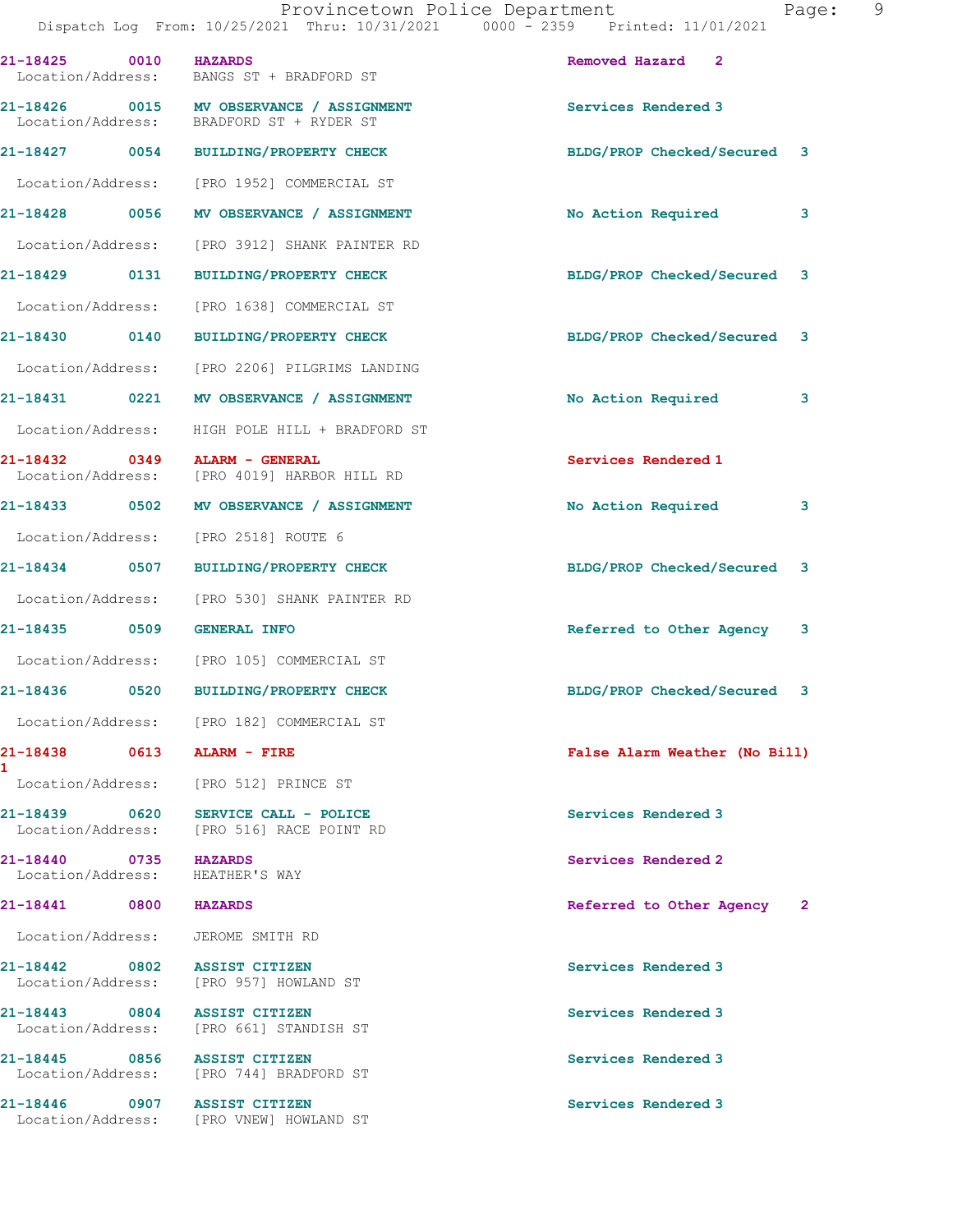| 21-18425<br>0010<br>Location/Address:              | <b>HAZARDS</b><br>BANGS ST + BRADFORD ST                                             | Removed Hazard 2               |
|----------------------------------------------------|--------------------------------------------------------------------------------------|--------------------------------|
|                                                    | 21-18426 0015 MV OBSERVANCE / ASSIGNMENT<br>Location/Address: BRADFORD ST + RYDER ST | Services Rendered 3            |
|                                                    | 21-18427 0054 BUILDING/PROPERTY CHECK                                                | BLDG/PROP Checked/Secured 3    |
|                                                    | Location/Address: [PRO 1952] COMMERCIAL ST                                           |                                |
| 21-18428<br>0056                                   | MV OBSERVANCE / ASSIGNMENT                                                           | No Action Required<br>3        |
| Location/Address:                                  | [PRO 3912] SHANK PAINTER RD                                                          |                                |
| 21-18429 0131                                      | <b>BUILDING/PROPERTY CHECK</b>                                                       | BLDG/PROP Checked/Secured 3    |
| Location/Address:                                  | [PRO 1638] COMMERCIAL ST                                                             |                                |
| 21-18430 0140                                      | BUILDING/PROPERTY CHECK                                                              | BLDG/PROP Checked/Secured 3    |
|                                                    | Location/Address: [PRO 2206] PILGRIMS LANDING                                        |                                |
| 21-18431 0221                                      | MV OBSERVANCE / ASSIGNMENT                                                           | No Action Required<br>3        |
| Location/Address:                                  | HIGH POLE HILL + BRADFORD ST                                                         |                                |
| 21-18432 0349 ALARM - GENERAL<br>Location/Address: | [PRO 4019] HARBOR HILL RD                                                            | Services Rendered 1            |
| 21-18433 0502                                      | MV OBSERVANCE / ASSIGNMENT                                                           | No Action Required<br>3        |
|                                                    | Location/Address: [PRO 2518] ROUTE 6                                                 |                                |
| 21-18434<br>0507                                   | <b>BUILDING/PROPERTY CHECK</b>                                                       | BLDG/PROP Checked/Secured<br>3 |
| Location/Address:                                  | [PRO 530] SHANK PAINTER RD                                                           |                                |
| 21-18435 0509                                      | <b>GENERAL INFO</b>                                                                  | Referred to Other Agency 3     |
|                                                    | Location/Address: [PRO 105] COMMERCIAL ST                                            |                                |
| 21-18436 0520                                      | <b>BUILDING/PROPERTY CHECK</b>                                                       | BLDG/PROP Checked/Secured 3    |
|                                                    | Location/Address: [PRO 182] COMMERCIAL ST                                            |                                |
| 21-18438<br>0613<br>1                              | ALARM - FIRE                                                                         | False Alarm Weather (No Bill)  |
| Location/Address:                                  | [PRO 512] PRINCE ST                                                                  |                                |
| 21-18439<br>0620<br>Location/Address:              | SERVICE CALL - POLICE<br>[PRO 516] RACE POINT RD                                     | Services Rendered 3            |
| 21-18440<br>0735<br>Location/Address:              | <b>HAZARDS</b><br>HEATHER'S WAY                                                      | Services Rendered 2            |
| 21-18441 0800                                      | <b>HAZARDS</b>                                                                       | Referred to Other Agency 2     |
| Location/Address: JEROME SMITH RD                  |                                                                                      |                                |
| 21-18442 0802<br>Location/Address:                 | <b>ASSIST CITIZEN</b><br>[PRO 957] HOWLAND ST                                        | Services Rendered 3            |
| 21-18443 0804<br>Location/Address:                 | <b>ASSIST CITIZEN</b><br>[PRO 661] STANDISH ST                                       | Services Rendered 3            |
| 21-18445<br>0856<br>Location/Address:              | <b>ASSIST CITIZEN</b><br>[PRO 744] BRADFORD ST                                       | Services Rendered 3            |
| 21-18446<br>0907<br>Location/Address:              | <b>ASSIST CITIZEN</b><br>[PRO VNEW] HOWLAND ST                                       | Services Rendered 3            |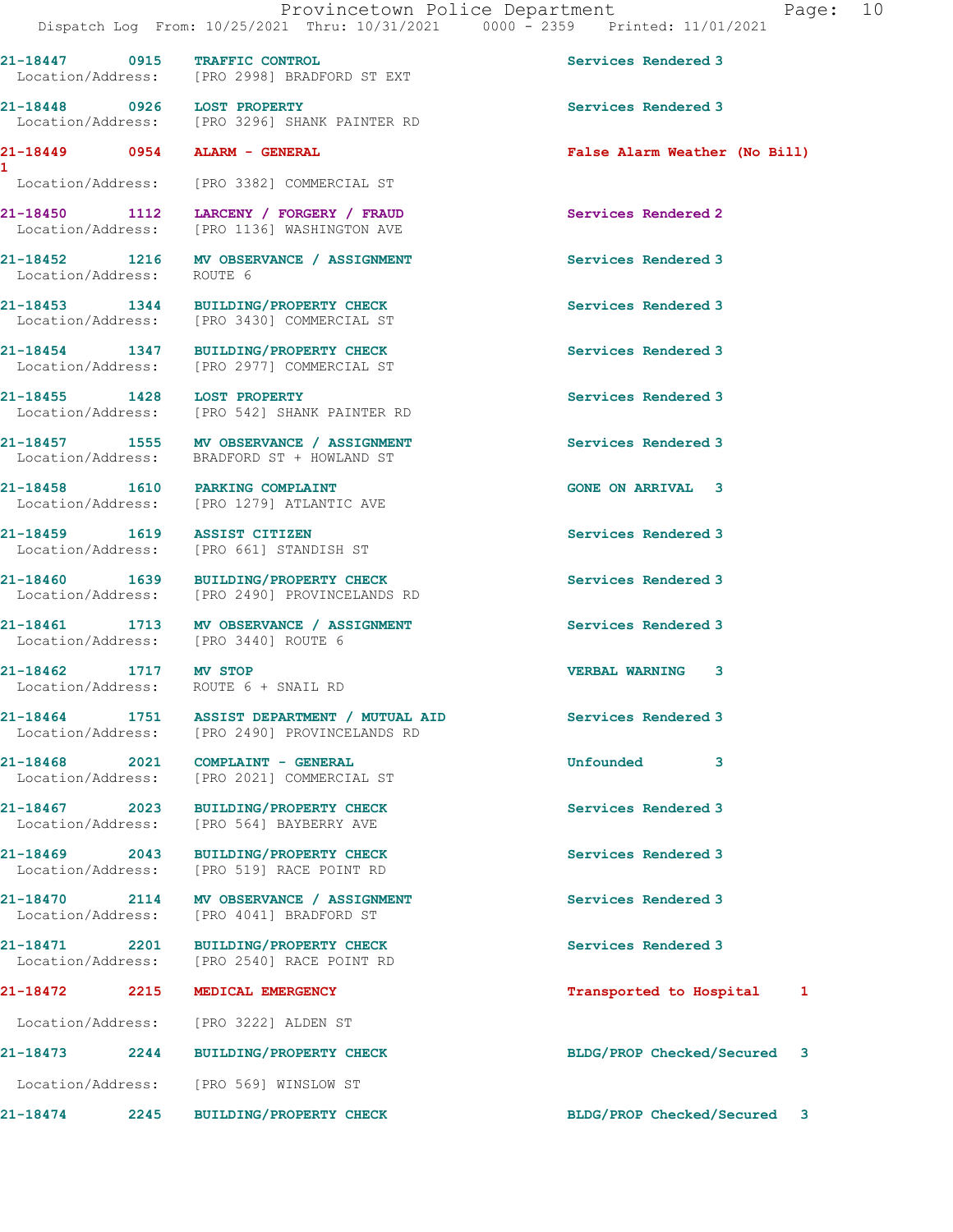21-18447 0915 TRAFFIC CONTROL Services Rendered 3

21-18448 0926 LOST PROPERTY Services Rendered 3

Location/Address: [PRO 2998] BRADFORD ST EXT

Location/Address: [PRO 3222] ALDEN ST

Location/Address: [PRO 569] WINSLOW ST

1

 Location/Address: [PRO 3296] SHANK PAINTER RD 21-18449 0954 ALARM - GENERAL False Alarm Weather (No Bill) Location/Address: [PRO 3382] COMMERCIAL ST 21-18450 1112 LARCENY / FORGERY / FRAUD Services Rendered 2 Location/Address: [PRO 1136] WASHINGTON AVE 21-18452 1216 MV OBSERVANCE / ASSIGNMENT Services Rendered 3 Location/Address: ROUTE 6 21-18453 1344 BUILDING/PROPERTY CHECK Services Rendered 3 Location/Address: [PRO 3430] COMMERCIAL ST 21-18454 1347 BUILDING/PROPERTY CHECK Services Rendered 3 Location/Address: [PRO 2977] COMMERCIAL ST 21-18455 1428 LOST PROPERTY Services Rendered 3 Location/Address: [PRO 542] SHANK PAINTER RD 21-18457 1555 MV OBSERVANCE / ASSIGNMENT Services Rendered 3 Location/Address: BRADFORD ST + HOWLAND ST 21-18458 1610 PARKING COMPLAINT GONE ON ARRIVAL 3 Location/Address: [PRO 1279] ATLANTIC AVE 21-18459 1619 ASSIST CITIZEN Services Rendered 3 Location/Address: [PRO 661] STANDISH ST 21-18460 1639 BUILDING/PROPERTY CHECK Services Rendered 3 Location/Address: [PRO 2490] PROVINCELANDS RD 21-18461 1713 MV OBSERVANCE / ASSIGNMENT Services Rendered 3<br>
Location/Address: [PRO 3440] ROUTE 6 Location/Address: 21-18462 1717 MV STOP VERBAL WARNING 3 Location/Address: ROUTE 6 + SNAIL RD 21-18464 1751 ASSIST DEPARTMENT / MUTUAL AID Services Rendered 3 Location/Address: [PRO 2490] PROVINCELANDS RD 21-18468 2021 COMPLAINT - GENERAL COMPLAINT - COMPRESSED SUPERSITY OF STRAIN COMPLAINT - GENERAL Location/Address: [PRO 2021] COMMERCIAL ST 21-18467 2023 BUILDING/PROPERTY CHECK Services Rendered 3 Location/Address: [PRO 564] BAYBERRY AVE 21-18469 2043 BUILDING/PROPERTY CHECK Services Rendered 3 Location/Address: [PRO 519] RACE POINT RD 21-18470 2114 MV OBSERVANCE / ASSIGNMENT Services Rendered 3 Location/Address: [PRO 4041] BRADFORD ST 21-18471 2201 BUILDING/PROPERTY CHECK Services Rendered 3 Location/Address: [PRO 2540] RACE POINT RD 21-18472 2215 MEDICAL EMERGENCY 2008 21-18472 2215 2215

21-18473 2244 BUILDING/PROPERTY CHECK BLDG/PROP Checked/Secured 3

21-18474 2245 BUILDING/PROPERTY CHECK BLDG/PROP Checked/Secured 3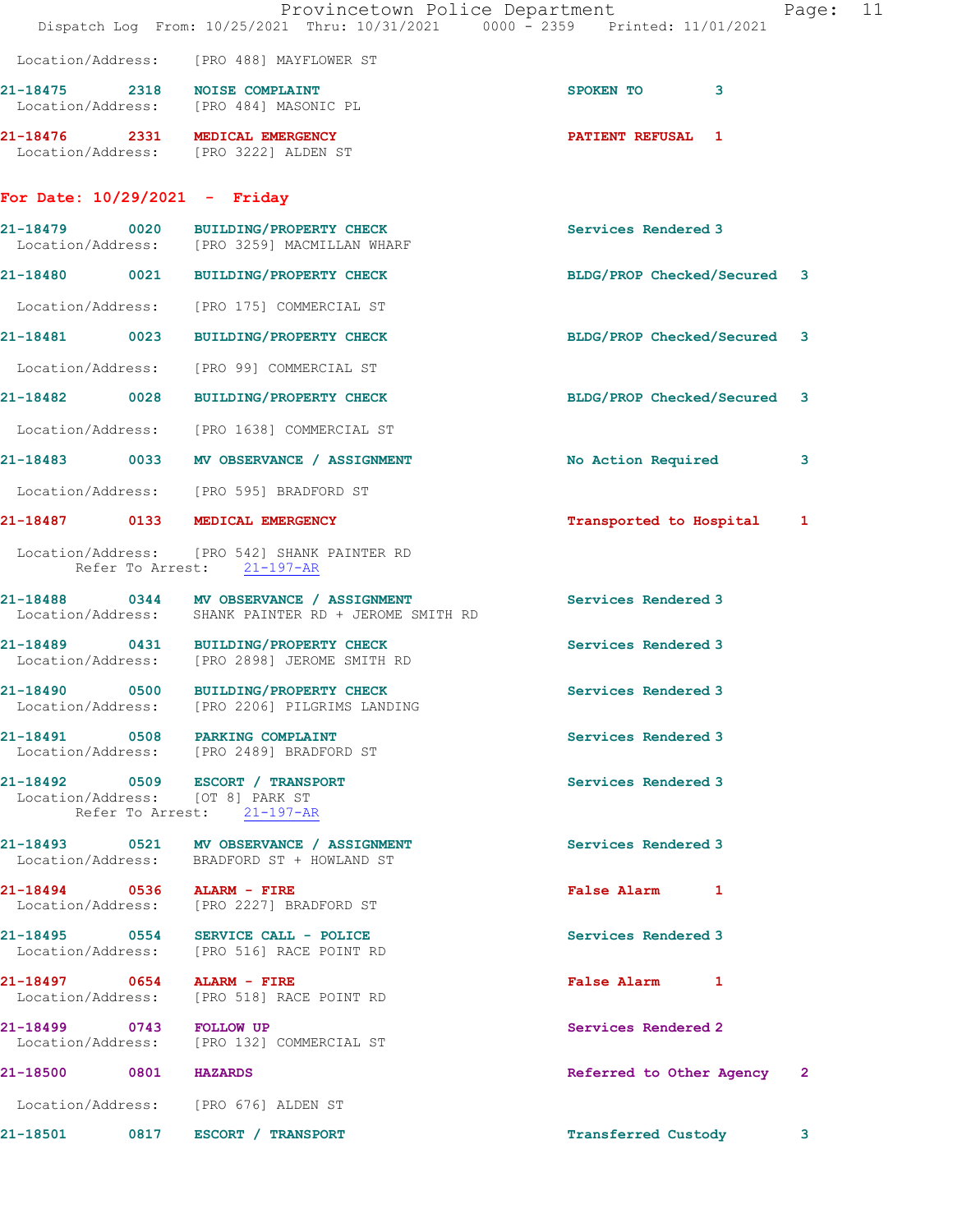|                                                                      | Provincetown Police Department<br>Dispatch Log From: 10/25/2021 Thru: 10/31/2021 0000 - 2359 Printed: 11/01/2021 |                                          | Page: 11 |
|----------------------------------------------------------------------|------------------------------------------------------------------------------------------------------------------|------------------------------------------|----------|
|                                                                      | Location/Address: [PRO 488] MAYFLOWER ST                                                                         |                                          |          |
|                                                                      | 21-18475 2318 NOISE COMPLAINT<br>Location/Address: [PRO 484] MASONIC PL                                          | SPOKEN TO<br>3                           |          |
|                                                                      | 21-18476 2331 MEDICAL EMERGENCY<br>Location/Address: [PRO 3222] ALDEN ST                                         | <b>PATIENT REFUSAL 1</b>                 |          |
| For Date: $10/29/2021$ - Friday                                      |                                                                                                                  |                                          |          |
|                                                                      | 21-18479 0020 BUILDING/PROPERTY CHECK<br>Location/Address: [PRO 3259] MACMILLAN WHARF                            | Services Rendered 3                      |          |
|                                                                      | 21-18480 0021 BUILDING/PROPERTY CHECK                                                                            | BLDG/PROP Checked/Secured 3              |          |
|                                                                      | Location/Address: [PRO 175] COMMERCIAL ST                                                                        |                                          |          |
|                                                                      | 21-18481 0023 BUILDING/PROPERTY CHECK                                                                            | BLDG/PROP Checked/Secured 3              |          |
|                                                                      | Location/Address: [PRO 99] COMMERCIAL ST                                                                         |                                          |          |
|                                                                      | 21-18482 0028 BUILDING/PROPERTY CHECK                                                                            | BLDG/PROP Checked/Secured 3              |          |
|                                                                      | Location/Address: [PRO 1638] COMMERCIAL ST                                                                       |                                          |          |
|                                                                      | 21-18483 0033 MV OBSERVANCE / ASSIGNMENT                                                                         | No Action Required<br>3                  |          |
|                                                                      | Location/Address: [PRO 595] BRADFORD ST                                                                          |                                          |          |
| 21-18487 0133 MEDICAL EMERGENCY                                      |                                                                                                                  | Transported to Hospital<br>1             |          |
|                                                                      | Location/Address: [PRO 542] SHANK PAINTER RD<br>Refer To Arrest: 21-197-AR                                       |                                          |          |
|                                                                      | 21-18488 0344 MV OBSERVANCE / ASSIGNMENT<br>Location/Address: SHANK PAINTER RD + JEROME SMITH RD                 | Services Rendered 3                      |          |
|                                                                      | 21-18489 0431 BUILDING/PROPERTY CHECK<br>Location/Address: [PRO 2898] JEROME SMITH RD                            | Services Rendered 3                      |          |
|                                                                      | 21-18490 0500 BUILDING/PROPERTY CHECK<br>Location/Address: [PRO 2206] PILGRIMS LANDING                           | Services Rendered 3                      |          |
| 21-18491 0508 PARKING COMPLAINT                                      | Location/Address: [PRO 2489] BRADFORD ST                                                                         | Services Rendered 3                      |          |
| 21-18492 0509 ESCORT / TRANSPORT<br>Location/Address: [OT 8] PARK ST | Refer To Arrest: 21-197-AR                                                                                       | Services Rendered 3                      |          |
|                                                                      | 21-18493 0521 MV OBSERVANCE / ASSIGNMENT<br>Location/Address: BRADFORD ST + HOWLAND ST                           | Services Rendered 3                      |          |
| 21-18494 0536 ALARM - FIRE                                           | Location/Address: [PRO 2227] BRADFORD ST                                                                         | False Alarm 1                            |          |
|                                                                      | 21-18495 0554 SERVICE CALL - POLICE<br>Location/Address: [PRO 516] RACE POINT RD                                 | Services Rendered 3                      |          |
| 21-18497 0654 ALARM - FIRE                                           | Location/Address: [PRO 518] RACE POINT RD                                                                        | False Alarm 1                            |          |
| 21-18499 0743 FOLLOW UP                                              | Location/Address: [PRO 132] COMMERCIAL ST                                                                        | Services Rendered 2                      |          |
| 21-18500 0801 HAZARDS                                                |                                                                                                                  | Referred to Other Agency<br>$\mathbf{2}$ |          |
| Location/Address: [PRO 676] ALDEN ST                                 |                                                                                                                  |                                          |          |
| 21-18501 0817 ESCORT / TRANSPORT                                     |                                                                                                                  | <b>Transferred Custody</b>               | 3        |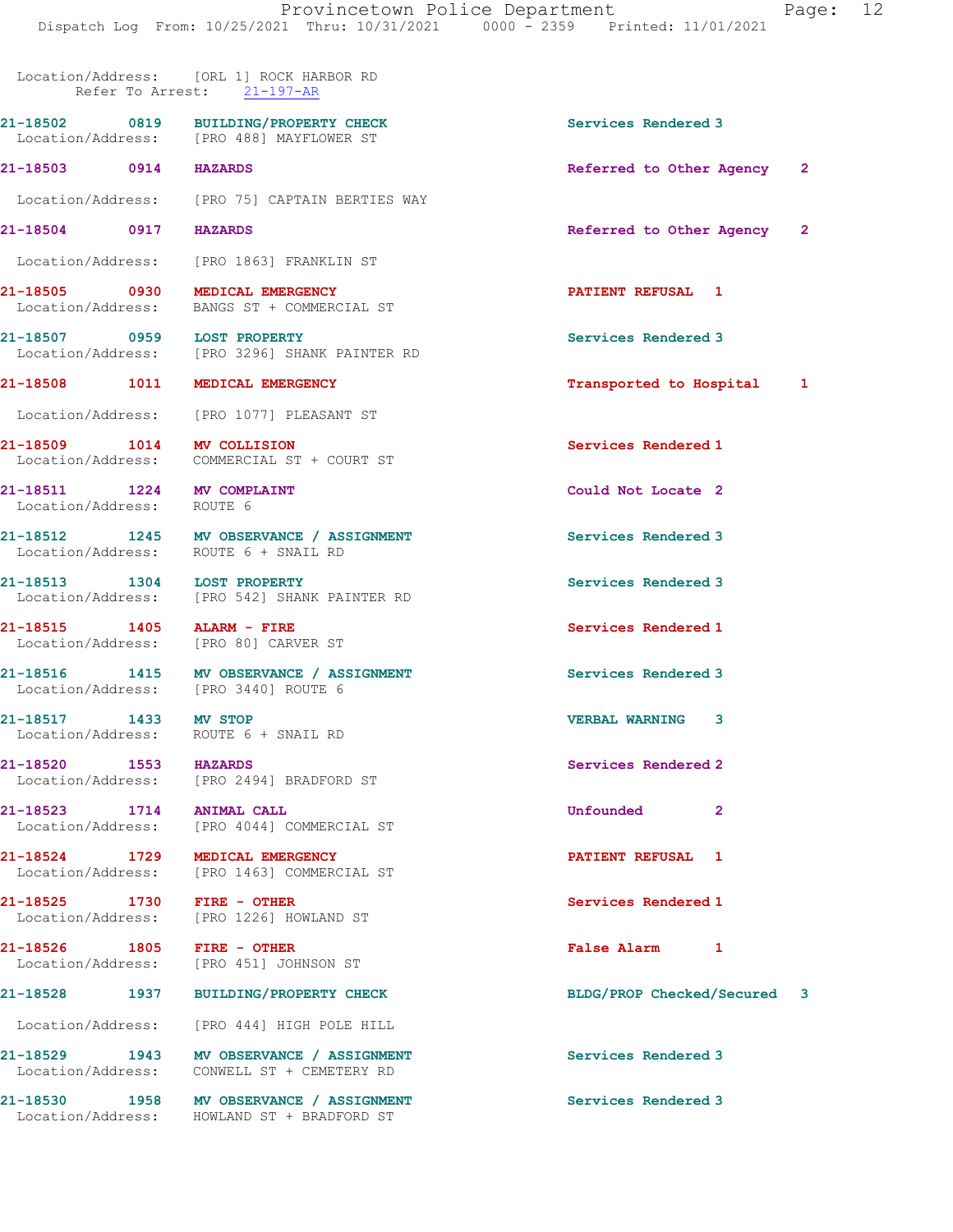|                           | Location/Address: [ORL 1] ROCK HARBOR RD<br>Refer To Arrest: 21-197-AR                 |                             |  |
|---------------------------|----------------------------------------------------------------------------------------|-----------------------------|--|
|                           | 21-18502 0819 BUILDING/PROPERTY CHECK<br>Location/Address: [PRO 488] MAYFLOWER ST      | Services Rendered 3         |  |
| 21-18503 0914 HAZARDS     |                                                                                        | Referred to Other Agency 2  |  |
|                           | Location/Address: [PRO 75] CAPTAIN BERTIES WAY                                         |                             |  |
| 21-18504 0917 HAZARDS     |                                                                                        | Referred to Other Agency 2  |  |
|                           | Location/Address: [PRO 1863] FRANKLIN ST                                               |                             |  |
|                           | 21-18505 0930 MEDICAL EMERGENCY<br>Location/Address: BANGS ST + COMMERCIAL ST          | <b>PATIENT REFUSAL 1</b>    |  |
|                           | 21-18507 0959 LOST PROPERTY<br>Location/Address: [PRO 3296] SHANK PAINTER RD           | Services Rendered 3         |  |
|                           |                                                                                        |                             |  |
|                           | 21-18508 1011 MEDICAL EMERGENCY                                                        | Transported to Hospital 1   |  |
|                           | Location/Address: [PRO 1077] PLEASANT ST                                               |                             |  |
|                           | 21-18509 1014 MV COLLISION<br>Location/Address: COMMERCIAL ST + COURT ST               | Services Rendered 1         |  |
|                           | 21-18511 1224 MV COMPLAINT                                                             | Could Not Locate 2          |  |
| Location/Address: ROUTE 6 |                                                                                        |                             |  |
|                           | 21-18512 1245 MV OBSERVANCE / ASSIGNMENT<br>Location/Address: ROUTE 6 + SNAIL RD       | Services Rendered 3         |  |
|                           | 21-18513 1304 LOST PROPERTY                                                            | Services Rendered 3         |  |
|                           | Location/Address: [PRO 542] SHANK PAINTER RD                                           |                             |  |
|                           | 21-18515    1405    ALARM - FIRE<br>Location/Address: [PRO 80] CARVER ST               | Services Rendered 1         |  |
|                           | 21-18516 1415 MV OBSERVANCE / ASSIGNMENT<br>Location/Address: [PRO 3440] ROUTE 6       | Services Rendered 3         |  |
| 21-18517 1433 MV STOP     | Location/Address: ROUTE 6 + SNAIL RD                                                   | <b>VERBAL WARNING</b><br>3  |  |
| 21-18520 1553             | <b>HAZARDS</b><br>Location/Address: [PRO 2494] BRADFORD ST                             | Services Rendered 2         |  |
| 21-18523 1714 ANIMAL CALL | Location/Address: [PRO 4044] COMMERCIAL ST                                             | Unfounded<br>$\mathbf{2}$   |  |
|                           | 21-18524 1729 MEDICAL EMERGENCY<br>Location/Address: [PRO 1463] COMMERCIAL ST          | PATIENT REFUSAL 1           |  |
|                           | 21-18525 1730 FIRE - OTHER<br>Location/Address: [PRO 1226] HOWLAND ST                  | Services Rendered 1         |  |
|                           | 21-18526 1805 FIRE - OTHER<br>Location/Address: [PRO 451] JOHNSON ST                   | False Alarm 1               |  |
|                           | 21-18528 1937 BUILDING/PROPERTY CHECK                                                  | BLDG/PROP Checked/Secured 3 |  |
|                           | Location/Address: [PRO 444] HIGH POLE HILL                                             |                             |  |
|                           | 21-18529 1943 MV OBSERVANCE / ASSIGNMENT<br>Location/Address: CONWELL ST + CEMETERY RD | Services Rendered 3         |  |
|                           | 21-18530 1958 MV OBSERVANCE / ASSIGNMENT<br>Location/Address: HOWLAND ST + BRADFORD ST | Services Rendered 3         |  |
|                           |                                                                                        |                             |  |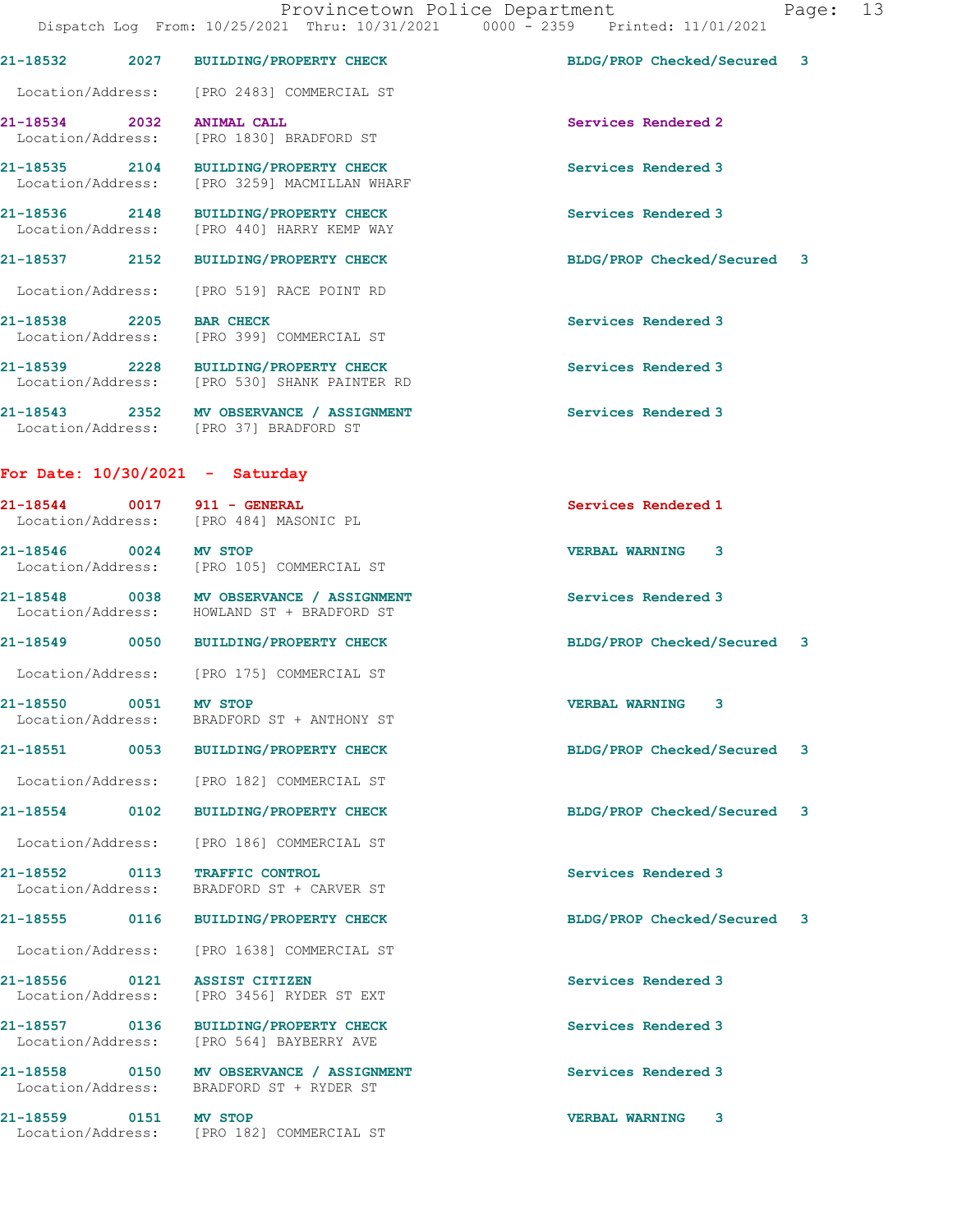|                                    |      | 21-18532 2027 BUILDING/PROPERTY CHECK                                                  | BLDG/PROP Checked/Secured 3 |  |
|------------------------------------|------|----------------------------------------------------------------------------------------|-----------------------------|--|
|                                    |      | Location/Address: [PRO 2483] COMMERCIAL ST                                             |                             |  |
| 21-18534 2032                      |      | <b>ANIMAL CALL</b><br>Location/Address: [PRO 1830] BRADFORD ST                         | Services Rendered 2         |  |
|                                    |      | 21-18535 2104 BUILDING/PROPERTY CHECK<br>Location/Address: [PRO 3259] MACMILLAN WHARF  | Services Rendered 3         |  |
|                                    |      | 21-18536 2148 BUILDING/PROPERTY CHECK<br>Location/Address: [PRO 440] HARRY KEMP WAY    | Services Rendered 3         |  |
|                                    |      | 21-18537 2152 BUILDING/PROPERTY CHECK                                                  | BLDG/PROP Checked/Secured 3 |  |
| Location/Address:                  |      | [PRO 519] RACE POINT RD                                                                |                             |  |
| 21-18538 2205 BAR CHECK            |      | Location/Address: [PRO 399] COMMERCIAL ST                                              | Services Rendered 3         |  |
|                                    |      | 21-18539 2228 BUILDING/PROPERTY CHECK<br>Location/Address: [PRO 530] SHANK PAINTER RD  | Services Rendered 3         |  |
|                                    |      | 21-18543 2352 MV OBSERVANCE / ASSIGNMENT<br>Location/Address: [PRO 37] BRADFORD ST     | Services Rendered 3         |  |
|                                    |      | For Date: $10/30/2021 -$ Saturday                                                      |                             |  |
|                                    |      | 21-18544 0017 911 - GENERAL<br>Location/Address: [PRO 484] MASONIC PL                  | Services Rendered 1         |  |
|                                    |      | 21-18546 0024 MV STOP<br>Location/Address: [PRO 105] COMMERCIAL ST                     | <b>VERBAL WARNING 3</b>     |  |
|                                    |      | 21-18548 0038 MV OBSERVANCE / ASSIGNMENT<br>Location/Address: HOWLAND ST + BRADFORD ST | Services Rendered 3         |  |
|                                    |      | 21-18549 0050 BUILDING/PROPERTY CHECK                                                  | BLDG/PROP Checked/Secured 3 |  |
|                                    |      | Location/Address: [PRO 175] COMMERCIAL ST                                              |                             |  |
| 21-18550 0051 MV STOP              |      | Location/Address: BRADFORD ST + ANTHONY ST                                             | <b>VERBAL WARNING</b><br>3  |  |
| 21-18551                           | 0053 | <b>BUILDING/PROPERTY CHECK</b>                                                         | BLDG/PROP Checked/Secured 3 |  |
|                                    |      | Location/Address: [PRO 182] COMMERCIAL ST                                              |                             |  |
| 21-18554                           | 0102 | <b>BUILDING/PROPERTY CHECK</b>                                                         | BLDG/PROP Checked/Secured 3 |  |
| Location/Address:                  |      | [PRO 186] COMMERCIAL ST                                                                |                             |  |
| 21-18552<br>Location/Address:      | 0113 | TRAFFIC CONTROL<br>BRADFORD ST + CARVER ST                                             | Services Rendered 3         |  |
| 21-18555 (1990)                    | 0116 | <b>BUILDING/PROPERTY CHECK</b>                                                         | BLDG/PROP Checked/Secured 3 |  |
|                                    |      | Location/Address: [PRO 1638] COMMERCIAL ST                                             |                             |  |
| 21-18556 0121<br>Location/Address: |      | <b>ASSIST CITIZEN</b><br>[PRO 3456] RYDER ST EXT                                       | Services Rendered 3         |  |
| 21-18557 0136                      |      | <b>BUILDING/PROPERTY CHECK</b><br>Location/Address: [PRO 564] BAYBERRY AVE             | Services Rendered 3         |  |
|                                    |      | 21-18558 0150 MV OBSERVANCE / ASSIGNMENT<br>Location/Address: BRADFORD ST + RYDER ST   | Services Rendered 3         |  |
| 21-18559 0151                      |      | MV STOP<br>Location/Address: [PRO 182] COMMERCIAL ST                                   | 3<br><b>VERBAL WARNING</b>  |  |
|                                    |      |                                                                                        |                             |  |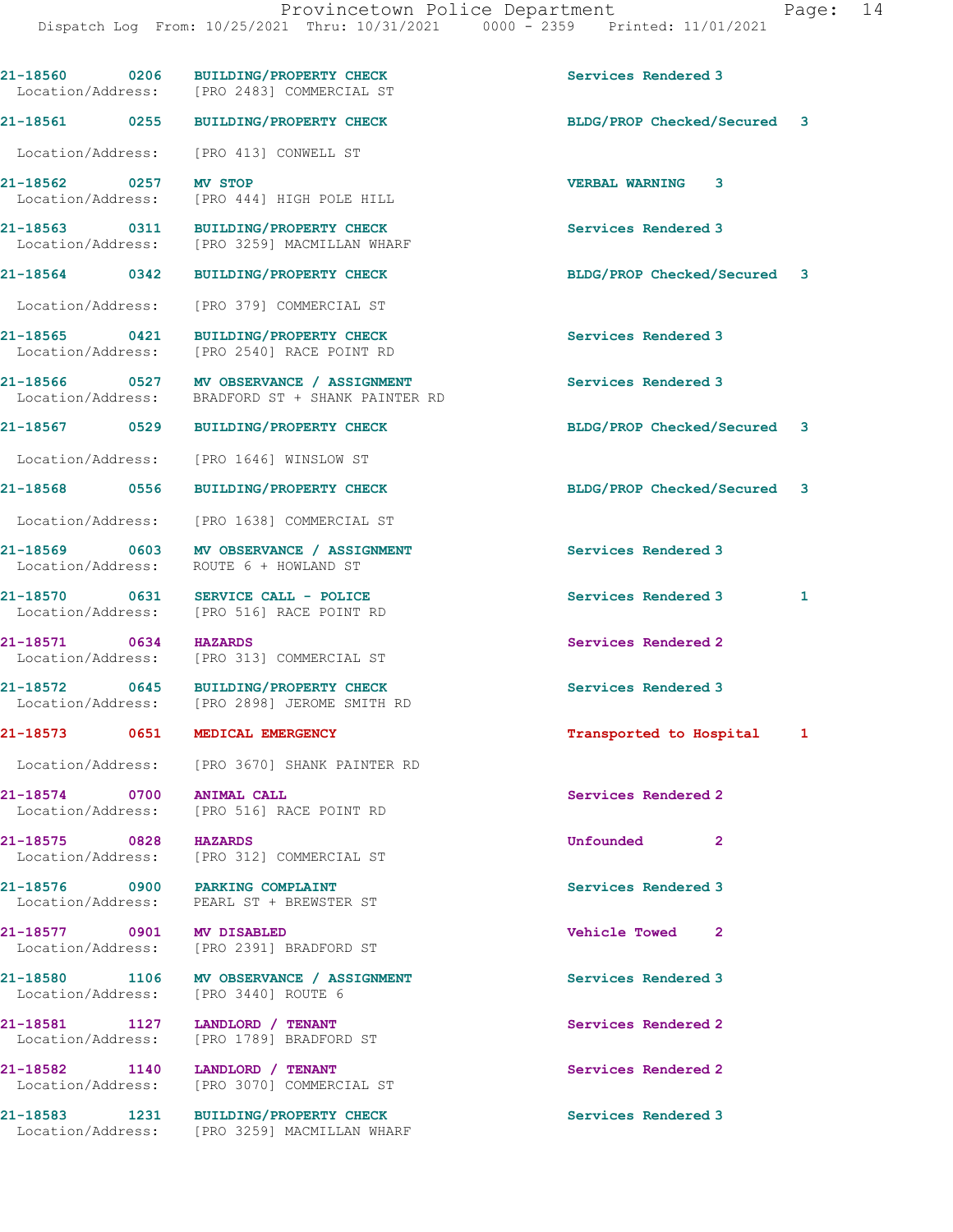|                                                | 21-18560 0206 BUILDING/PROPERTY CHECK<br>Location/Address: [PRO 2483] COMMERCIAL ST          | Services Rendered 3         |   |
|------------------------------------------------|----------------------------------------------------------------------------------------------|-----------------------------|---|
| 21-18561 0255                                  | BUILDING/PROPERTY CHECK                                                                      | BLDG/PROP Checked/Secured 3 |   |
| Location/Address:                              | [PRO 413] CONWELL ST                                                                         |                             |   |
| 21-18562 0257<br>Location/Address:             | <b>MV STOP</b><br>[PRO 444] HIGH POLE HILL                                                   | <b>VERBAL WARNING 3</b>     |   |
|                                                | 21-18563 0311 BUILDING/PROPERTY CHECK<br>Location/Address: [PRO 3259] MACMILLAN WHARF        | Services Rendered 3         |   |
| 21-18564 0342                                  | <b>BUILDING/PROPERTY CHECK</b>                                                               | BLDG/PROP Checked/Secured 3 |   |
| Location/Address:                              | [PRO 379] COMMERCIAL ST                                                                      |                             |   |
| 21-18565 0421                                  | BUILDING/PROPERTY CHECK<br>Location/Address: [PRO 2540] RACE POINT RD                        | Services Rendered 3         |   |
|                                                | 21-18566 0527 MV OBSERVANCE / ASSIGNMENT<br>Location/Address: BRADFORD ST + SHANK PAINTER RD | Services Rendered 3         |   |
| 21-18567 0529                                  | BUILDING/PROPERTY CHECK                                                                      | BLDG/PROP Checked/Secured 3 |   |
| Location/Address:                              | [PRO 1646] WINSLOW ST                                                                        |                             |   |
| 21-18568 0556                                  | <b>BUILDING/PROPERTY CHECK</b>                                                               | BLDG/PROP Checked/Secured 3 |   |
| Location/Address:                              | [PRO 1638] COMMERCIAL ST                                                                     |                             |   |
| 21-18569 0603<br>Location/Address:             | MV OBSERVANCE / ASSIGNMENT<br>ROUTE 6 + HOWLAND ST                                           | Services Rendered 3         |   |
| 21-18570 0631                                  | SERVICE CALL - POLICE<br>Location/Address: [PRO 516] RACE POINT RD                           | Services Rendered 3         | 1 |
| 21-18571 0634<br>Location/Address:             | <b>HAZARDS</b><br>[PRO 313] COMMERCIAL ST                                                    | Services Rendered 2         |   |
| 21-18572 0645                                  | <b>BUILDING/PROPERTY CHECK</b><br>Location/Address: [PRO 2898] JEROME SMITH RD               | Services Rendered 3         |   |
| 21-18573 0651 MEDICAL EMERGENCY                |                                                                                              | Transported to Hospital 1   |   |
|                                                | Location/Address: [PRO 3670] SHANK PAINTER RD                                                |                             |   |
| 21-18574 0700 ANIMAL CALL<br>Location/Address: | [PRO 516] RACE POINT RD                                                                      | Services Rendered 2         |   |
| 21-18575 0828 HAZARDS                          | Location/Address: [PRO 312] COMMERCIAL ST                                                    | Unfounded<br>$\mathbf{2}$   |   |
| 21-18576 0900 PARKING COMPLAINT                | Location/Address: PEARL ST + BREWSTER ST                                                     | Services Rendered 3         |   |
| 21-18577 0901 MV DISABLED                      | Location/Address: [PRO 2391] BRADFORD ST                                                     | Vehicle Towed 2             |   |
| Location/Address: [PRO 3440] ROUTE 6           | 21-18580 1106 MV OBSERVANCE / ASSIGNMENT                                                     | Services Rendered 3         |   |
| 21-18581 1127                                  | LANDLORD / TENANT<br>Location/Address: [PRO 1789] BRADFORD ST                                | Services Rendered 2         |   |
| 21-18582 1140 LANDLORD / TENANT                | Location/Address: [PRO 3070] COMMERCIAL ST                                                   | Services Rendered 2         |   |
|                                                | 21-18583 1231 BUILDING/PROPERTY CHECK<br>Location/Address: [PRO 3259] MACMILLAN WHARF        | Services Rendered 3         |   |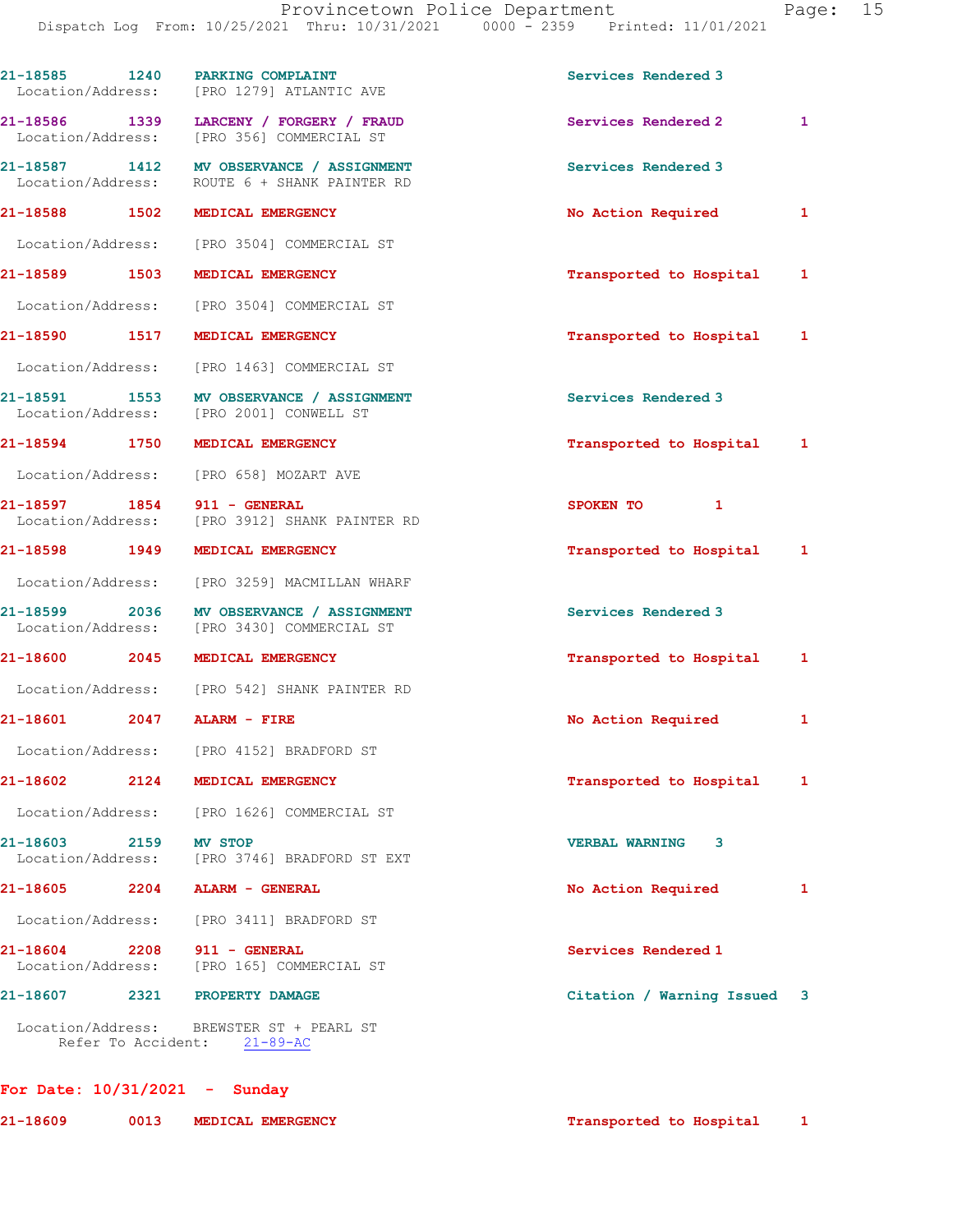| 21-18585 1240                     |                    | PARKING COMPLAINT<br>Location/Address: [PRO 1279] ATLANTIC AVE                           | Services Rendered 3              |              |
|-----------------------------------|--------------------|------------------------------------------------------------------------------------------|----------------------------------|--------------|
|                                   |                    | 21-18586 1339 LARCENY / FORGERY / FRAUD<br>Location/Address: [PRO 356] COMMERCIAL ST     | Services Rendered 2              | $\mathbf{1}$ |
|                                   |                    | 21-18587 1412 MV OBSERVANCE / ASSIGNMENT<br>Location/Address: ROUTE 6 + SHANK PAINTER RD | Services Rendered 3              |              |
|                                   |                    | 21-18588 1502 MEDICAL EMERGENCY                                                          | No Action Required               | $\mathbf{1}$ |
|                                   |                    | Location/Address: [PRO 3504] COMMERCIAL ST                                               |                                  |              |
| 21-18589 1503                     |                    | MEDICAL EMERGENCY                                                                        | Transported to Hospital 1        |              |
|                                   |                    | Location/Address: [PRO 3504] COMMERCIAL ST                                               |                                  |              |
| 21-18590 1517                     |                    | MEDICAL EMERGENCY                                                                        | Transported to Hospital 1        |              |
|                                   |                    | Location/Address: [PRO 1463] COMMERCIAL ST                                               |                                  |              |
|                                   |                    | 21-18591 1553 MV OBSERVANCE / ASSIGNMENT<br>Location/Address: [PRO 2001] CONWELL ST      | Services Rendered 3              |              |
|                                   |                    | 21-18594 1750 MEDICAL EMERGENCY                                                          | Transported to Hospital 1        |              |
|                                   |                    | Location/Address: [PRO 658] MOZART AVE                                                   |                                  |              |
| 21-18597 1854                     |                    | 911 - GENERAL<br>Location/Address: [PRO 3912] SHANK PAINTER RD                           | <b>SPOKEN TO</b><br>$\mathbf{1}$ |              |
|                                   |                    | 21-18598 1949 MEDICAL EMERGENCY                                                          | Transported to Hospital 1        |              |
|                                   |                    | Location/Address: [PRO 3259] MACMILLAN WHARF                                             |                                  |              |
|                                   |                    | 21-18599 2036 MV OBSERVANCE / ASSIGNMENT<br>Location/Address: [PRO 3430] COMMERCIAL ST   | Services Rendered 3              |              |
| 21-18600 2045                     |                    | MEDICAL EMERGENCY                                                                        | Transported to Hospital 1        |              |
|                                   |                    | Location/Address: [PRO 542] SHANK PAINTER RD                                             |                                  |              |
|                                   |                    | 21-18601 2047 ALARM - FIRE                                                               | No Action Required               | 1            |
| Location/Address:                 |                    | [PRO 4152] BRADFORD ST                                                                   |                                  |              |
| 21-18602                          | 2124               | MEDICAL EMERGENCY                                                                        | Transported to Hospital          | 1            |
| Location/Address:                 |                    | [PRO 1626] COMMERCIAL ST                                                                 |                                  |              |
| 21-18603                          | 2159               | <b>MV STOP</b><br>Location/Address: [PRO 3746] BRADFORD ST EXT                           | <b>VERBAL WARNING</b><br>3       |              |
| 21-18605                          | 2204               | ALARM - GENERAL                                                                          | No Action Required               | 1            |
| Location/Address:                 |                    | [PRO 3411] BRADFORD ST                                                                   |                                  |              |
| $21 - 18604$<br>Location/Address: | 2208               | 911 - GENERAL<br>[PRO 165] COMMERCIAL ST                                                 | Services Rendered 1              |              |
| 21-18607                          | 2321               | PROPERTY DAMAGE                                                                          | Citation / Warning Issued        | 3            |
|                                   | Refer To Accident: | Location/Address: BREWSTER ST + PEARL ST<br>$21 - 89 - AC$                               |                                  |              |

## For Date: 10/31/2021 - Sunday

| 21-18609 | 0013 | MEDICAL EMERGENCY | Transported to Hospital |
|----------|------|-------------------|-------------------------|
|          |      |                   |                         |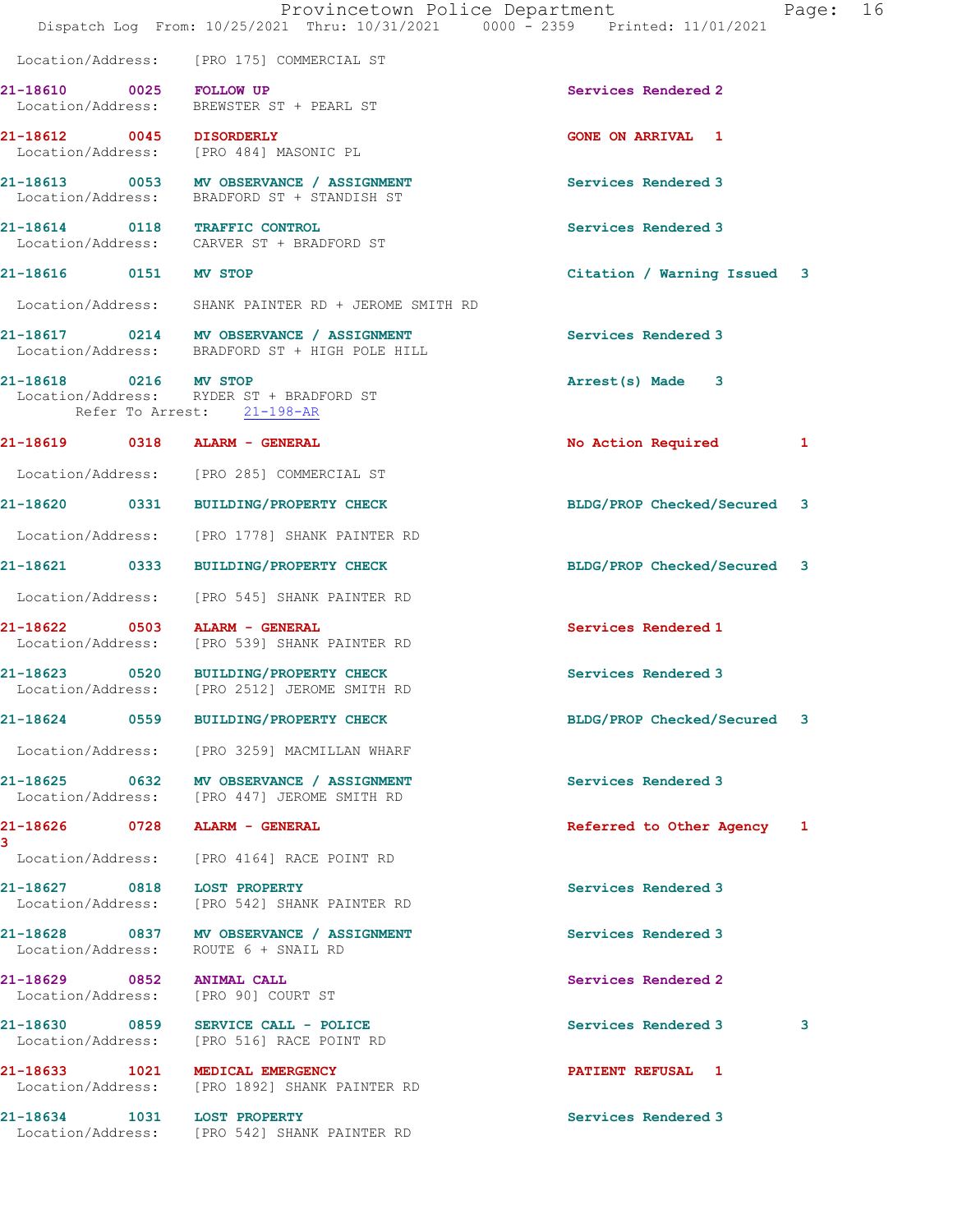|                                    | Dispatch Log From: 10/25/2021 Thru: 10/31/2021 0000 - 2359 Printed: 11/01/2021             | Provincetown Police Department | Page: | 16 |
|------------------------------------|--------------------------------------------------------------------------------------------|--------------------------------|-------|----|
|                                    | Location/Address: [PRO 175] COMMERCIAL ST                                                  |                                |       |    |
| 21-18610 0025 FOLLOW UP            | Location/Address: BREWSTER ST + PEARL ST                                                   | Services Rendered 2            |       |    |
| 21-18612 0045 DISORDERLY           | Location/Address: [PRO 484] MASONIC PL                                                     | <b>GONE ON ARRIVAL 1</b>       |       |    |
|                                    | 21-18613 0053 MV OBSERVANCE / ASSIGNMENT<br>Location/Address: BRADFORD ST + STANDISH ST    | Services Rendered 3            |       |    |
|                                    | 21-18614 0118 TRAFFIC CONTROL<br>Location/Address: CARVER ST + BRADFORD ST                 | Services Rendered 3            |       |    |
| 21-18616 0151 MV STOP              |                                                                                            | Citation / Warning Issued 3    |       |    |
|                                    | Location/Address: SHANK PAINTER RD + JEROME SMITH RD                                       |                                |       |    |
|                                    | 21-18617 0214 MV OBSERVANCE / ASSIGNMENT<br>Location/Address: BRADFORD ST + HIGH POLE HILL | Services Rendered 3            |       |    |
| 21-18618 0216 MV STOP              | Location/Address: RYDER ST + BRADFORD ST<br>Refer To Arrest: 21-198-AR                     | Arrest(s) Made 3               |       |    |
|                                    | 21-18619 0318 ALARM - GENERAL                                                              | No Action Required             | 1     |    |
|                                    | Location/Address: [PRO 285] COMMERCIAL ST                                                  |                                |       |    |
|                                    | 21-18620 0331 BUILDING/PROPERTY CHECK                                                      | BLDG/PROP Checked/Secured 3    |       |    |
|                                    | Location/Address: [PRO 1778] SHANK PAINTER RD                                              |                                |       |    |
|                                    | 21-18621 0333 BUILDING/PROPERTY CHECK                                                      | BLDG/PROP Checked/Secured 3    |       |    |
|                                    | Location/Address: [PRO 545] SHANK PAINTER RD                                               |                                |       |    |
|                                    | 21-18622 0503 ALARM - GENERAL<br>Location/Address: [PRO 539] SHANK PAINTER RD              | Services Rendered 1            |       |    |
|                                    | 21-18623 0520 BUILDING/PROPERTY CHECK<br>Location/Address: [PRO 2512] JEROME SMITH RD      | Services Rendered 3            |       |    |
|                                    | 21-18624 0559 BUILDING/PROPERTY CHECK                                                      | BLDG/PROP Checked/Secured 3    |       |    |
|                                    | Location/Address: [PRO 3259] MACMILLAN WHARF                                               |                                |       |    |
|                                    | 21-18625 0632 MV OBSERVANCE / ASSIGNMENT<br>Location/Address: [PRO 447] JEROME SMITH RD    | Services Rendered 3            |       |    |
|                                    | 21-18626 0728 ALARM - GENERAL                                                              | Referred to Other Agency 1     |       |    |
|                                    | Location/Address: [PRO 4164] RACE POINT RD                                                 |                                |       |    |
|                                    | 21-18627 0818 LOST PROPERTY<br>Location/Address: [PRO 542] SHANK PAINTER RD                | Services Rendered 3            |       |    |
|                                    | 21-18628 0837 MV OBSERVANCE / ASSIGNMENT<br>Location/Address: ROUTE 6 + SNAIL RD           | Services Rendered 3            |       |    |
| 21-18629 0852 ANIMAL CALL          | Location/Address: [PRO 90] COURT ST                                                        | Services Rendered 2            |       |    |
| 21-18630 0859<br>Location/Address: | SERVICE CALL - POLICE<br>[PRO 516] RACE POINT RD                                           | Services Rendered 3            | 3     |    |
|                                    | 21-18633 1021 MEDICAL EMERGENCY<br>Location/Address: [PRO 1892] SHANK PAINTER RD           | PATIENT REFUSAL 1              |       |    |
|                                    | 21-18634 1031 LOST PROPERTY<br>Location/Address: [PRO 542] SHANK PAINTER RD                | Services Rendered 3            |       |    |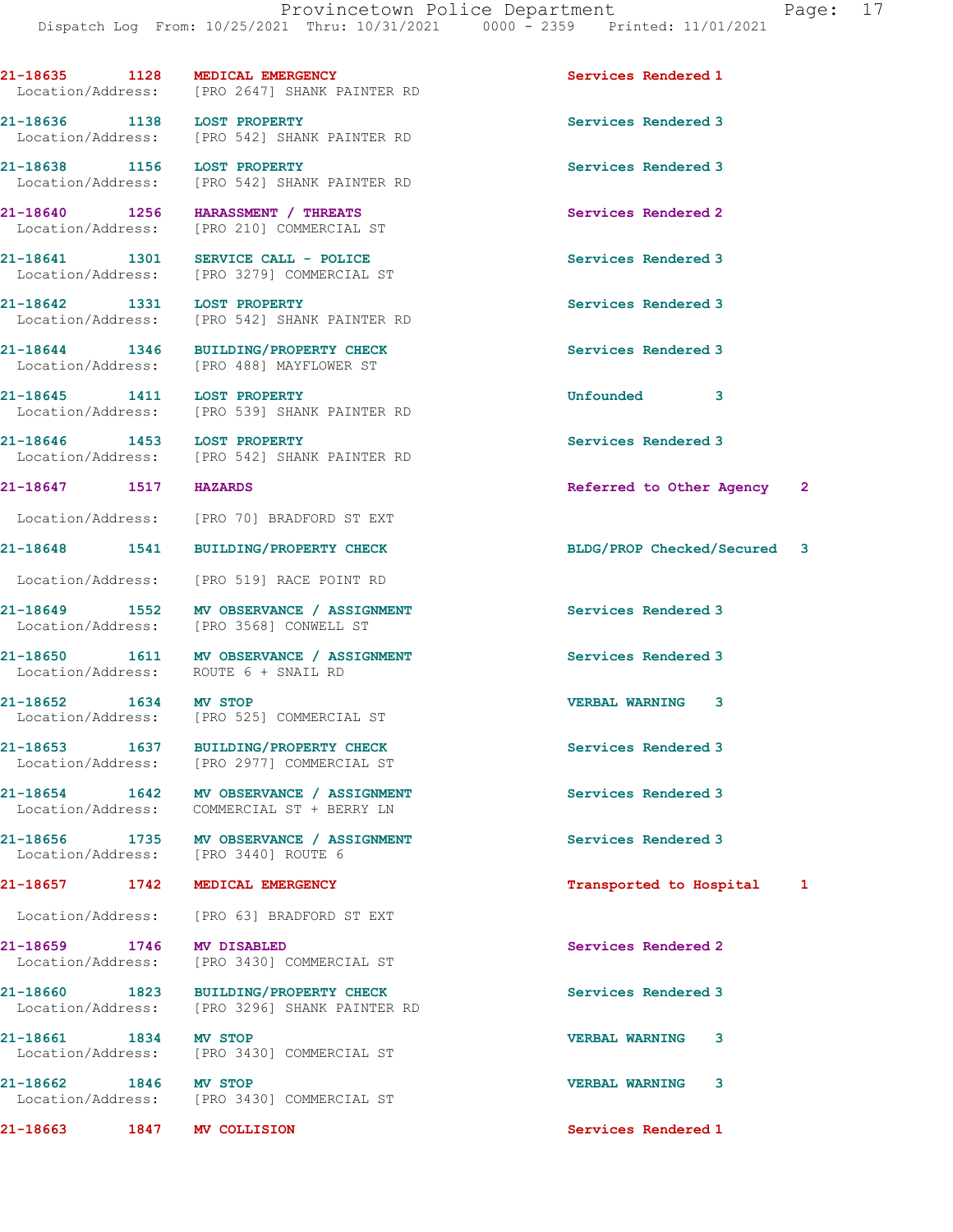21-18640 1256 HARASSMENT / THREATS Services Rendered 2 Location/Address: [PRO 210] COMMERCIAL ST 21-18641 1301 SERVICE CALL - POLICE Services Rendered 3 Location/Address: [PRO 3279] COMMERCIAL ST 21-18642 1331 LOST PROPERTY Services Rendered 3 Location/Address: [PRO 542] SHANK PAINTER RD 21-18644 1346 BUILDING/PROPERTY CHECK Services Rendered 3 Location/Address: [PRO 488] MAYFLOWER ST 21-18645 1411 LOST PROPERTY Unfounded 3 Location/Address: [PRO 539] SHANK PAINTER RD 21-18646 1453 LOST PROPERTY Services Rendered 3 Location/Address: [PRO 542] SHANK PAINTER RD 21-18647 1517 HAZARDS Referred to Other Agency 2 Location/Address: [PRO 70] BRADFORD ST EXT 21-18648 1541 BUILDING/PROPERTY CHECK BLDG/PROP Checked/Secured 3 Location/Address: [PRO 519] RACE POINT RD 21-18649 1552 MV OBSERVANCE / ASSIGNMENT Services Rendered 3 Location/Address: [PRO 3568] CONWELL ST 21-18650 1611 MV OBSERVANCE / ASSIGNMENT Services Rendered 3 Location/Address: ROUTE 6 + SNAIL RD 21-18652 1634 MV STOP VERBAL WARNING 3 Location/Address: [PRO 525] COMMERCIAL ST 21-18653 1637 BUILDING/PROPERTY CHECK Services Rendered 3 Location/Address: [PRO 2977] COMMERCIAL ST 21-18654 1642 MV OBSERVANCE / ASSIGNMENT Services Rendered 3 Location/Address: COMMERCIAL ST + BERRY LN 21-18656 1735 MV OBSERVANCE / ASSIGNMENT Services Rendered 3<br>
Location/Address: [PRO 3440] ROUTE 6 21-18657 1742 MEDICAL EMERGENCY Transported to Hospital 1 Location/Address: [PRO 63] BRADFORD ST EXT 21-18659 1746 MV DISABLED Services Rendered 2 Location/Address: [PRO 3430] COMMERCIAL ST 21-18660 1823 BUILDING/PROPERTY CHECK Services Rendered 3 Location/Address: [PRO 3296] SHANK PAINTER RD 21-18661 1834 MV STOP VERBAL WARNING 3 Location/Address: [PRO 3430] COMMERCIAL ST 21-18662 1846 MV STOP VERBAL WARNING 3 Location/Address: [PRO 3430] COMMERCIAL ST 21-18663 1847 MV COLLISION Services Rendered 1

21-18635 1128 MEDICAL EMERGENCY Services Rendered 1 Location/Address: [PRO 2647] SHANK PAINTER RD

21-18636 1138 LOST PROPERTY Services Rendered 3 Location/Address: [PRO 542] SHANK PAINTER RD

21-18638 1156 LOST PROPERTY Services Rendered 3 Location/Address: [PRO 542] SHANK PAINTER RD

Location/Address: